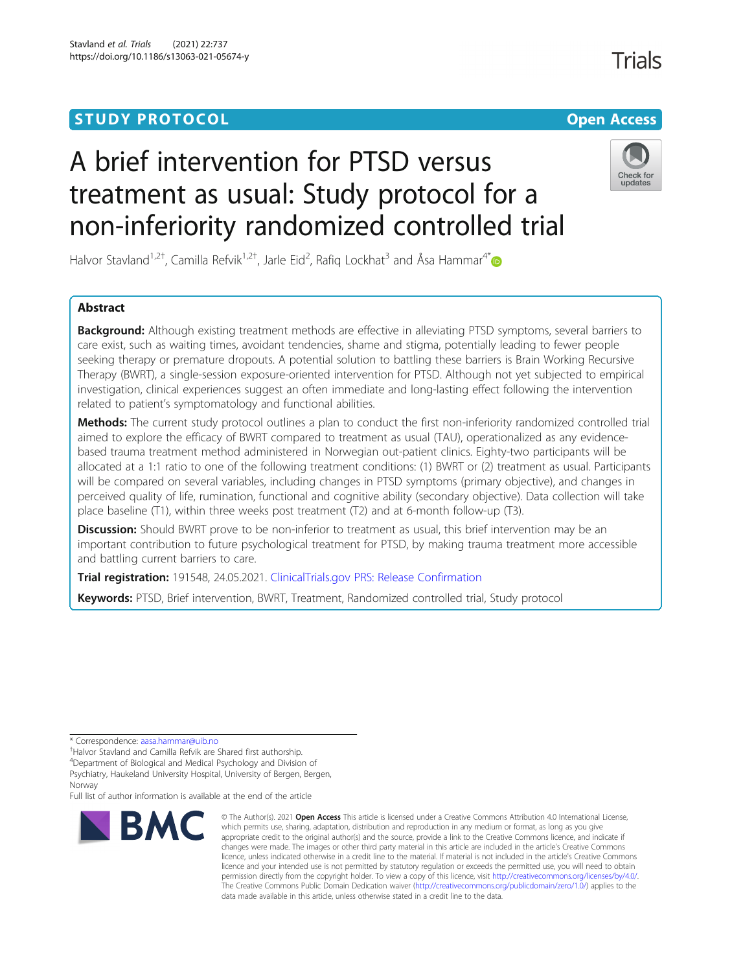## **STUDY PROTOCOL CONSUMING THE RESERVE ACCESS**

# **Trials**

## A brief intervention for PTSD versus treatment as usual: Study protocol for a non-inferiority randomized controlled trial



Halvor Stavland<sup>1,2†</sup>, Camilla Refvik<sup>1,2†</sup>, Jarle Eid<sup>2</sup>, Rafiq Lockhat<sup>3</sup> and Åsa Hammar<sup>4\*</sup>

## Abstract

**Background:** Although existing treatment methods are effective in alleviating PTSD symptoms, several barriers to care exist, such as waiting times, avoidant tendencies, shame and stigma, potentially leading to fewer people seeking therapy or premature dropouts. A potential solution to battling these barriers is Brain Working Recursive Therapy (BWRT), a single-session exposure-oriented intervention for PTSD. Although not yet subjected to empirical investigation, clinical experiences suggest an often immediate and long-lasting effect following the intervention related to patient's symptomatology and functional abilities.

Methods: The current study protocol outlines a plan to conduct the first non-inferiority randomized controlled trial aimed to explore the efficacy of BWRT compared to treatment as usual (TAU), operationalized as any evidencebased trauma treatment method administered in Norwegian out-patient clinics. Eighty-two participants will be allocated at a 1:1 ratio to one of the following treatment conditions: (1) BWRT or (2) treatment as usual. Participants will be compared on several variables, including changes in PTSD symptoms (primary objective), and changes in perceived quality of life, rumination, functional and cognitive ability (secondary objective). Data collection will take place baseline (T1), within three weeks post treatment (T2) and at 6-month follow-up (T3).

**Discussion:** Should BWRT prove to be non-inferior to treatment as usual, this brief intervention may be an important contribution to future psychological treatment for PTSD, by making trauma treatment more accessible and battling current barriers to care.

Trial registration: 191548, 24.05.2021. [ClinicalTrials.gov PRS: Release Confirmation](https://register.clinicaltrials.gov/prs/app/action/ReleaseProtocol?uid=U0005OX8&ts=41&sid=S000B0H5&cx=-uvru88)

Keywords: PTSD, Brief intervention, BWRT, Treatment, Randomized controlled trial, Study protocol

\* Correspondence: [aasa.hammar@uib.no](mailto:aasa.hammar@uib.no) †

Halvor Stavland and Camilla Refvik are Shared first authorship.

4 Department of Biological and Medical Psychology and Division of

Psychiatry, Haukeland University Hospital, University of Bergen, Bergen, Norway

Full list of author information is available at the end of the article



<sup>©</sup> The Author(s), 2021 **Open Access** This article is licensed under a Creative Commons Attribution 4.0 International License, which permits use, sharing, adaptation, distribution and reproduction in any medium or format, as long as you give appropriate credit to the original author(s) and the source, provide a link to the Creative Commons licence, and indicate if changes were made. The images or other third party material in this article are included in the article's Creative Commons licence, unless indicated otherwise in a credit line to the material. If material is not included in the article's Creative Commons licence and your intended use is not permitted by statutory regulation or exceeds the permitted use, you will need to obtain permission directly from the copyright holder. To view a copy of this licence, visit [http://creativecommons.org/licenses/by/4.0/.](http://creativecommons.org/licenses/by/4.0/) The Creative Commons Public Domain Dedication waiver [\(http://creativecommons.org/publicdomain/zero/1.0/](http://creativecommons.org/publicdomain/zero/1.0/)) applies to the data made available in this article, unless otherwise stated in a credit line to the data.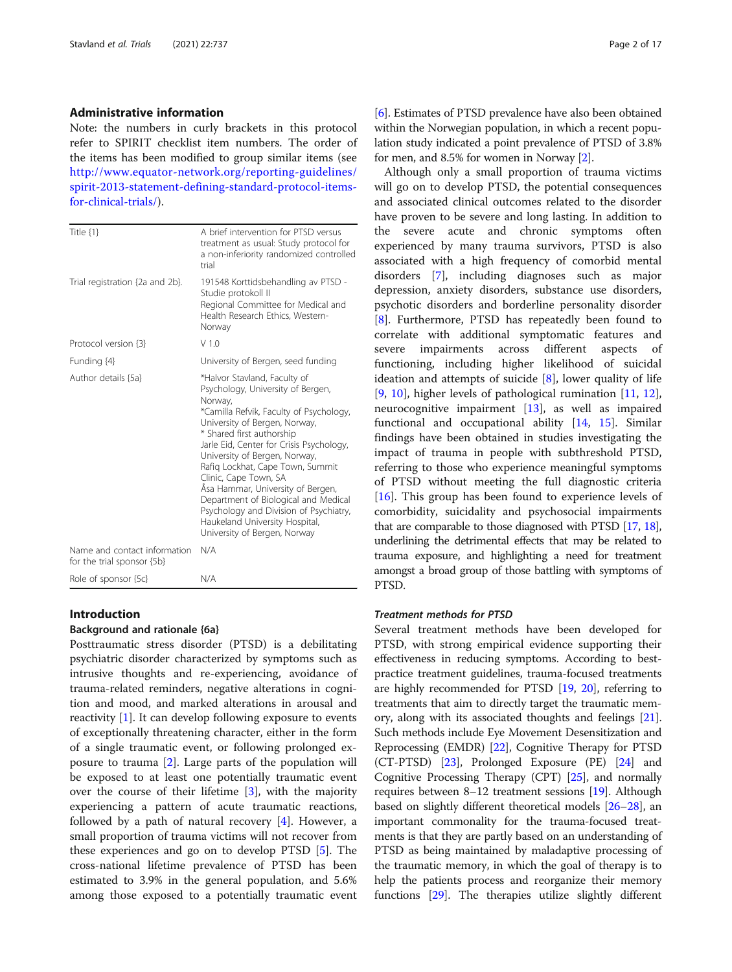#### Administrative information

Note: the numbers in curly brackets in this protocol refer to SPIRIT checklist item numbers. The order of the items has been modified to group similar items (see [http://www.equator-network.org/reporting-guidelines/](http://www.equator-network.org/reporting-guidelines/spirit-2013-statement-defining-standard-protocol-items-for-clinical-trials/) [spirit-2013-statement-defining-standard-protocol-items](http://www.equator-network.org/reporting-guidelines/spirit-2013-statement-defining-standard-protocol-items-for-clinical-trials/)[for-clinical-trials/](http://www.equator-network.org/reporting-guidelines/spirit-2013-statement-defining-standard-protocol-items-for-clinical-trials/)).

| Title {1}                                                  | A brief intervention for PTSD versus<br>treatment as usual: Study protocol for<br>a non-inferiority randomized controlled<br>trial                                                                                                                                                                                                                                                                                                                                                                                       |
|------------------------------------------------------------|--------------------------------------------------------------------------------------------------------------------------------------------------------------------------------------------------------------------------------------------------------------------------------------------------------------------------------------------------------------------------------------------------------------------------------------------------------------------------------------------------------------------------|
| Trial registration {2a and 2b}.                            | 191548 Korttidsbehandling av PTSD -<br>Studie protokoll II<br>Regional Committee for Medical and<br>Health Research Ethics, Western-<br>Norway                                                                                                                                                                                                                                                                                                                                                                           |
| Protocol version {3}                                       | V1.0                                                                                                                                                                                                                                                                                                                                                                                                                                                                                                                     |
| Funding {4}                                                | University of Bergen, seed funding                                                                                                                                                                                                                                                                                                                                                                                                                                                                                       |
| Author details {5a}                                        | *Halvor Stavland, Faculty of<br>Psychology, University of Bergen,<br>Norway,<br>*Camilla Refvik, Faculty of Psychology,<br>University of Bergen, Norway,<br>* Shared first authorship<br>Jarle Eid, Center for Crisis Psychology,<br>University of Bergen, Norway,<br>Rafig Lockhat, Cape Town, Summit<br>Clinic, Cape Town, SA<br>Asa Hammar, University of Bergen,<br>Department of Biological and Medical<br>Psychology and Division of Psychiatry,<br>Haukeland University Hospital,<br>University of Bergen, Norway |
| Name and contact information<br>for the trial sponsor {5b} | N/A                                                                                                                                                                                                                                                                                                                                                                                                                                                                                                                      |
| Role of sponsor {5c}                                       | N/A                                                                                                                                                                                                                                                                                                                                                                                                                                                                                                                      |

#### Introduction

## Background and rationale {6a}

Posttraumatic stress disorder (PTSD) is a debilitating psychiatric disorder characterized by symptoms such as intrusive thoughts and re-experiencing, avoidance of trauma-related reminders, negative alterations in cognition and mood, and marked alterations in arousal and reactivity [[1\]](#page-14-0). It can develop following exposure to events of exceptionally threatening character, either in the form of a single traumatic event, or following prolonged exposure to trauma [[2\]](#page-14-0). Large parts of the population will be exposed to at least one potentially traumatic event over the course of their lifetime [\[3\]](#page-14-0), with the majority experiencing a pattern of acute traumatic reactions, followed by a path of natural recovery [[4](#page-14-0)]. However, a small proportion of trauma victims will not recover from these experiences and go on to develop PTSD [\[5\]](#page-14-0). The cross-national lifetime prevalence of PTSD has been estimated to 3.9% in the general population, and 5.6% among those exposed to a potentially traumatic event

[[6\]](#page-14-0). Estimates of PTSD prevalence have also been obtained within the Norwegian population, in which a recent population study indicated a point prevalence of PTSD of 3.8% for men, and 8.5% for women in Norway [\[2](#page-14-0)].

Although only a small proportion of trauma victims will go on to develop PTSD, the potential consequences and associated clinical outcomes related to the disorder have proven to be severe and long lasting. In addition to the severe acute and chronic symptoms often experienced by many trauma survivors, PTSD is also associated with a high frequency of comorbid mental disorders [\[7](#page-14-0)], including diagnoses such as major depression, anxiety disorders, substance use disorders, psychotic disorders and borderline personality disorder [[8\]](#page-14-0). Furthermore, PTSD has repeatedly been found to correlate with additional symptomatic features and severe impairments across different aspects of functioning, including higher likelihood of suicidal ideation and attempts of suicide [\[8](#page-14-0)], lower quality of life [[9,](#page-14-0) [10](#page-14-0)], higher levels of pathological rumination [\[11,](#page-14-0) [12](#page-15-0)], neurocognitive impairment [\[13\]](#page-15-0), as well as impaired functional and occupational ability [[14](#page-15-0), [15](#page-15-0)]. Similar findings have been obtained in studies investigating the impact of trauma in people with subthreshold PTSD, referring to those who experience meaningful symptoms of PTSD without meeting the full diagnostic criteria [[16\]](#page-15-0). This group has been found to experience levels of comorbidity, suicidality and psychosocial impairments that are comparable to those diagnosed with PTSD [\[17](#page-15-0), [18](#page-15-0)], underlining the detrimental effects that may be related to trauma exposure, and highlighting a need for treatment amongst a broad group of those battling with symptoms of PTSD.

#### Treatment methods for PTSD

Several treatment methods have been developed for PTSD, with strong empirical evidence supporting their effectiveness in reducing symptoms. According to bestpractice treatment guidelines, trauma-focused treatments are highly recommended for PTSD [\[19,](#page-15-0) [20\]](#page-15-0), referring to treatments that aim to directly target the traumatic memory, along with its associated thoughts and feelings [[21](#page-15-0)]. Such methods include Eye Movement Desensitization and Reprocessing (EMDR) [\[22](#page-15-0)], Cognitive Therapy for PTSD (CT-PTSD) [[23](#page-15-0)], Prolonged Exposure (PE) [[24](#page-15-0)] and Cognitive Processing Therapy (CPT) [\[25](#page-15-0)], and normally requires between 8–12 treatment sessions [\[19](#page-15-0)]. Although based on slightly different theoretical models [\[26](#page-15-0)–[28](#page-15-0)], an important commonality for the trauma-focused treatments is that they are partly based on an understanding of PTSD as being maintained by maladaptive processing of the traumatic memory, in which the goal of therapy is to help the patients process and reorganize their memory functions [[29](#page-15-0)]. The therapies utilize slightly different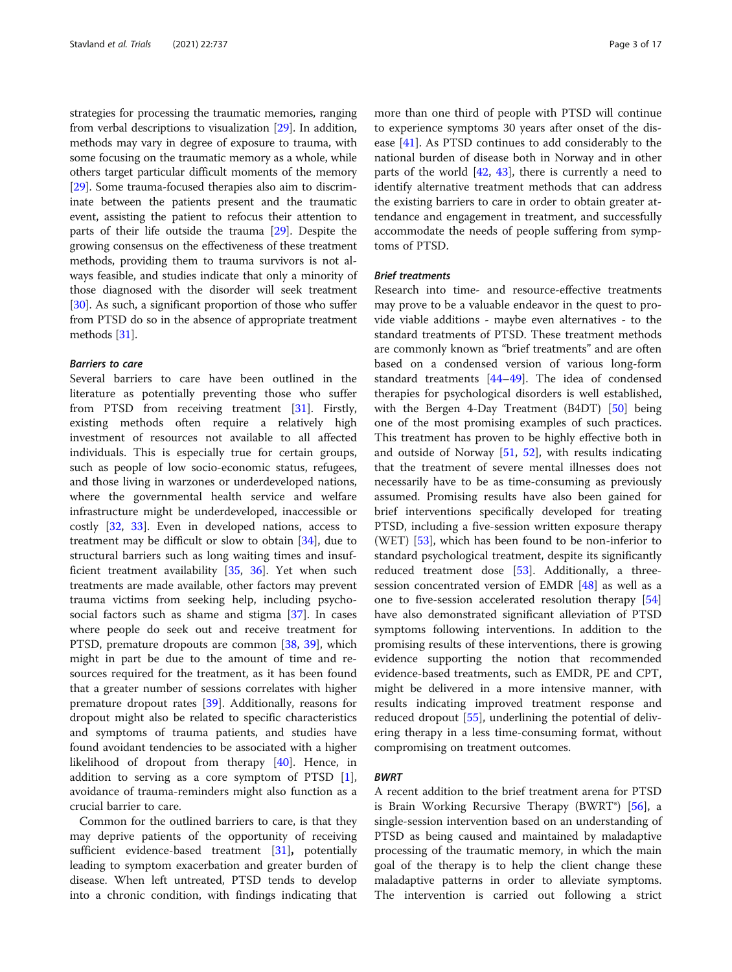strategies for processing the traumatic memories, ranging from verbal descriptions to visualization [[29](#page-15-0)]. In addition, methods may vary in degree of exposure to trauma, with some focusing on the traumatic memory as a whole, while others target particular difficult moments of the memory [[29](#page-15-0)]. Some trauma-focused therapies also aim to discriminate between the patients present and the traumatic event, assisting the patient to refocus their attention to parts of their life outside the trauma [\[29\]](#page-15-0). Despite the growing consensus on the effectiveness of these treatment methods, providing them to trauma survivors is not always feasible, and studies indicate that only a minority of those diagnosed with the disorder will seek treatment [[30](#page-15-0)]. As such, a significant proportion of those who suffer from PTSD do so in the absence of appropriate treatment methods [\[31\]](#page-15-0).

## Barriers to care

Several barriers to care have been outlined in the literature as potentially preventing those who suffer from PTSD from receiving treatment [\[31\]](#page-15-0). Firstly, existing methods often require a relatively high investment of resources not available to all affected individuals. This is especially true for certain groups, such as people of low socio-economic status, refugees, and those living in warzones or underdeveloped nations, where the governmental health service and welfare infrastructure might be underdeveloped, inaccessible or costly [[32,](#page-15-0) [33\]](#page-15-0). Even in developed nations, access to treatment may be difficult or slow to obtain [[34](#page-15-0)], due to structural barriers such as long waiting times and insufficient treatment availability [[35,](#page-15-0) [36](#page-15-0)]. Yet when such treatments are made available, other factors may prevent trauma victims from seeking help, including psychosocial factors such as shame and stigma [[37\]](#page-15-0). In cases where people do seek out and receive treatment for PTSD, premature dropouts are common [[38,](#page-15-0) [39](#page-15-0)], which might in part be due to the amount of time and resources required for the treatment, as it has been found that a greater number of sessions correlates with higher premature dropout rates [[39\]](#page-15-0). Additionally, reasons for dropout might also be related to specific characteristics and symptoms of trauma patients, and studies have found avoidant tendencies to be associated with a higher likelihood of dropout from therapy [\[40](#page-15-0)]. Hence, in addition to serving as a core symptom of PTSD [\[1](#page-14-0)], avoidance of trauma-reminders might also function as a crucial barrier to care.

Common for the outlined barriers to care, is that they may deprive patients of the opportunity of receiving sufficient evidence-based treatment [[31\]](#page-15-0), potentially leading to symptom exacerbation and greater burden of disease. When left untreated, PTSD tends to develop into a chronic condition, with findings indicating that

more than one third of people with PTSD will continue to experience symptoms 30 years after onset of the disease [\[41\]](#page-15-0). As PTSD continues to add considerably to the national burden of disease both in Norway and in other parts of the world [[42,](#page-15-0) [43\]](#page-15-0), there is currently a need to identify alternative treatment methods that can address the existing barriers to care in order to obtain greater attendance and engagement in treatment, and successfully accommodate the needs of people suffering from symptoms of PTSD.

## Brief treatments

Research into time- and resource-effective treatments may prove to be a valuable endeavor in the quest to provide viable additions - maybe even alternatives - to the standard treatments of PTSD. These treatment methods are commonly known as "brief treatments" and are often based on a condensed version of various long-form standard treatments [\[44](#page-15-0)–[49\]](#page-15-0). The idea of condensed therapies for psychological disorders is well established, with the Bergen 4-Day Treatment (B4DT) [\[50\]](#page-15-0) being one of the most promising examples of such practices. This treatment has proven to be highly effective both in and outside of Norway [\[51](#page-16-0), [52](#page-16-0)], with results indicating that the treatment of severe mental illnesses does not necessarily have to be as time-consuming as previously assumed. Promising results have also been gained for brief interventions specifically developed for treating PTSD, including a five-session written exposure therapy (WET) [[53](#page-16-0)], which has been found to be non-inferior to standard psychological treatment, despite its significantly reduced treatment dose [[53](#page-16-0)]. Additionally, a threesession concentrated version of EMDR [[48](#page-15-0)] as well as a one to five-session accelerated resolution therapy [[54](#page-16-0)] have also demonstrated significant alleviation of PTSD symptoms following interventions. In addition to the promising results of these interventions, there is growing evidence supporting the notion that recommended evidence-based treatments, such as EMDR, PE and CPT, might be delivered in a more intensive manner, with results indicating improved treatment response and reduced dropout [[55\]](#page-16-0), underlining the potential of delivering therapy in a less time-consuming format, without compromising on treatment outcomes.

## BWRT

A recent addition to the brief treatment arena for PTSD is Brain Working Recursive Therapy (BWRT®) [[56\]](#page-16-0), a single-session intervention based on an understanding of PTSD as being caused and maintained by maladaptive processing of the traumatic memory, in which the main goal of the therapy is to help the client change these maladaptive patterns in order to alleviate symptoms. The intervention is carried out following a strict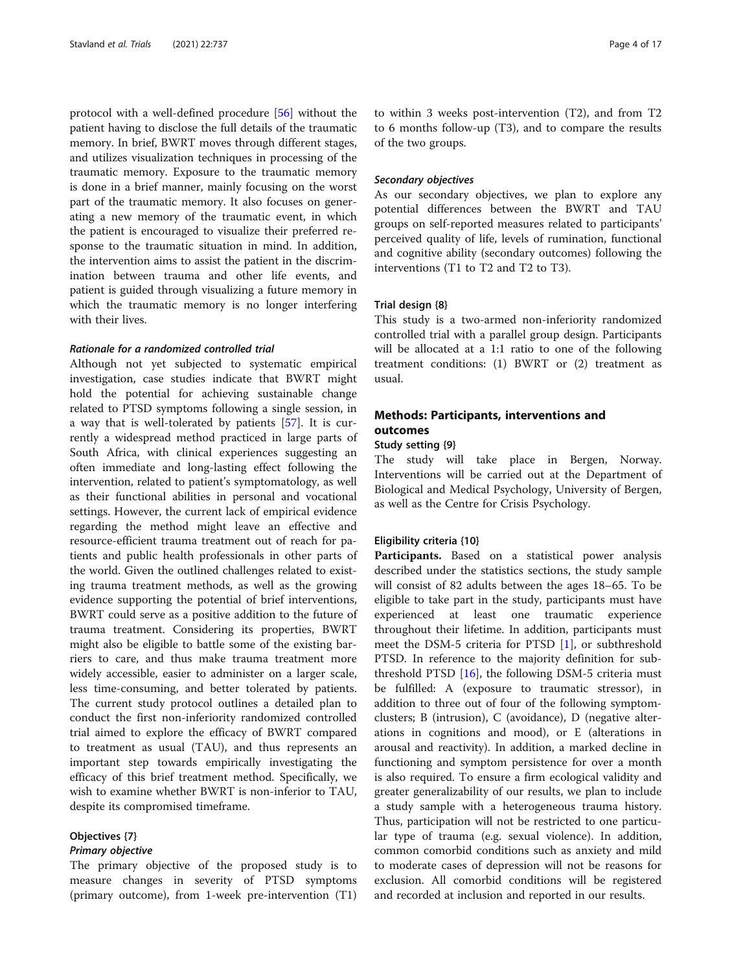protocol with a well-defined procedure [[56\]](#page-16-0) without the patient having to disclose the full details of the traumatic memory. In brief, BWRT moves through different stages, and utilizes visualization techniques in processing of the traumatic memory. Exposure to the traumatic memory is done in a brief manner, mainly focusing on the worst part of the traumatic memory. It also focuses on generating a new memory of the traumatic event, in which the patient is encouraged to visualize their preferred response to the traumatic situation in mind. In addition, the intervention aims to assist the patient in the discrimination between trauma and other life events, and patient is guided through visualizing a future memory in which the traumatic memory is no longer interfering with their lives.

## Rationale for a randomized controlled trial

Although not yet subjected to systematic empirical investigation, case studies indicate that BWRT might hold the potential for achieving sustainable change related to PTSD symptoms following a single session, in a way that is well-tolerated by patients [[57\]](#page-16-0). It is currently a widespread method practiced in large parts of South Africa, with clinical experiences suggesting an often immediate and long-lasting effect following the intervention, related to patient's symptomatology, as well as their functional abilities in personal and vocational settings. However, the current lack of empirical evidence regarding the method might leave an effective and resource-efficient trauma treatment out of reach for patients and public health professionals in other parts of the world. Given the outlined challenges related to existing trauma treatment methods, as well as the growing evidence supporting the potential of brief interventions, BWRT could serve as a positive addition to the future of trauma treatment. Considering its properties, BWRT might also be eligible to battle some of the existing barriers to care, and thus make trauma treatment more widely accessible, easier to administer on a larger scale, less time-consuming, and better tolerated by patients. The current study protocol outlines a detailed plan to conduct the first non-inferiority randomized controlled trial aimed to explore the efficacy of BWRT compared to treatment as usual (TAU), and thus represents an important step towards empirically investigating the efficacy of this brief treatment method. Specifically, we wish to examine whether BWRT is non-inferior to TAU, despite its compromised timeframe.

## Objectives {7}

#### Primary objective

The primary objective of the proposed study is to measure changes in severity of PTSD symptoms (primary outcome), from 1-week pre-intervention (T1)

to within 3 weeks post-intervention (T2), and from T2 to 6 months follow-up (T3), and to compare the results of the two groups.

#### Secondary objectives

As our secondary objectives, we plan to explore any potential differences between the BWRT and TAU groups on self-reported measures related to participants' perceived quality of life, levels of rumination, functional and cognitive ability (secondary outcomes) following the interventions (T1 to T2 and T2 to T3).

## Trial design {8}

This study is a two-armed non-inferiority randomized controlled trial with a parallel group design. Participants will be allocated at a 1:1 ratio to one of the following treatment conditions: (1) BWRT or (2) treatment as usual.

## Methods: Participants, interventions and outcomes

#### Study setting {9}

The study will take place in Bergen, Norway. Interventions will be carried out at the Department of Biological and Medical Psychology, University of Bergen, as well as the Centre for Crisis Psychology.

## Eligibility criteria {10}

Participants. Based on a statistical power analysis described under the statistics sections, the study sample will consist of 82 adults between the ages 18–65. To be eligible to take part in the study, participants must have experienced at least one traumatic experience throughout their lifetime. In addition, participants must meet the DSM-5 criteria for PTSD [[1\]](#page-14-0), or subthreshold PTSD. In reference to the majority definition for subthreshold PTSD [\[16](#page-15-0)], the following DSM-5 criteria must be fulfilled: A (exposure to traumatic stressor), in addition to three out of four of the following symptomclusters; B (intrusion), C (avoidance), D (negative alterations in cognitions and mood), or E (alterations in arousal and reactivity). In addition, a marked decline in functioning and symptom persistence for over a month is also required. To ensure a firm ecological validity and greater generalizability of our results, we plan to include a study sample with a heterogeneous trauma history. Thus, participation will not be restricted to one particular type of trauma (e.g. sexual violence). In addition, common comorbid conditions such as anxiety and mild to moderate cases of depression will not be reasons for exclusion. All comorbid conditions will be registered and recorded at inclusion and reported in our results.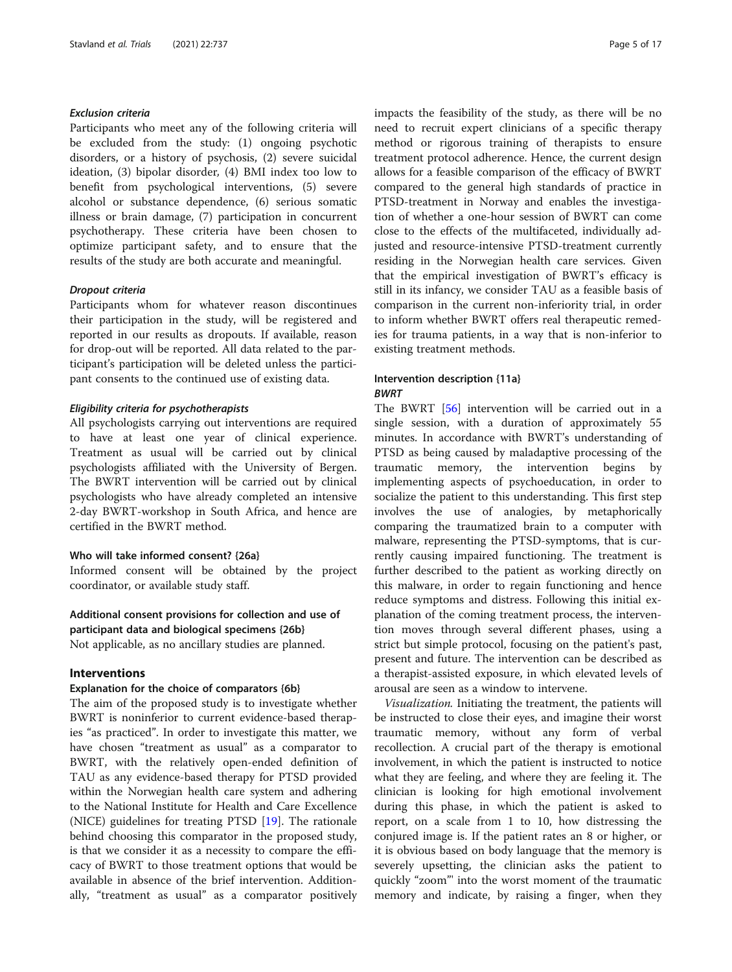## Exclusion criteria

Participants who meet any of the following criteria will be excluded from the study: (1) ongoing psychotic disorders, or a history of psychosis, (2) severe suicidal ideation, (3) bipolar disorder, (4) BMI index too low to benefit from psychological interventions, (5) severe alcohol or substance dependence, (6) serious somatic illness or brain damage, (7) participation in concurrent psychotherapy. These criteria have been chosen to optimize participant safety, and to ensure that the results of the study are both accurate and meaningful.

#### Dropout criteria

Participants whom for whatever reason discontinues their participation in the study, will be registered and reported in our results as dropouts. If available, reason for drop-out will be reported. All data related to the participant's participation will be deleted unless the participant consents to the continued use of existing data.

## Eligibility criteria for psychotherapists

All psychologists carrying out interventions are required to have at least one year of clinical experience. Treatment as usual will be carried out by clinical psychologists affiliated with the University of Bergen. The BWRT intervention will be carried out by clinical psychologists who have already completed an intensive 2-day BWRT-workshop in South Africa, and hence are certified in the BWRT method.

## Who will take informed consent? {26a}

Informed consent will be obtained by the project coordinator, or available study staff.

## Additional consent provisions for collection and use of participant data and biological specimens {26b}

Not applicable, as no ancillary studies are planned.

#### Interventions

## Explanation for the choice of comparators {6b}

The aim of the proposed study is to investigate whether BWRT is noninferior to current evidence-based therapies "as practiced". In order to investigate this matter, we have chosen "treatment as usual" as a comparator to BWRT, with the relatively open-ended definition of TAU as any evidence-based therapy for PTSD provided within the Norwegian health care system and adhering to the National Institute for Health and Care Excellence (NICE) guidelines for treating PTSD [[19\]](#page-15-0). The rationale behind choosing this comparator in the proposed study, is that we consider it as a necessity to compare the efficacy of BWRT to those treatment options that would be available in absence of the brief intervention. Additionally, "treatment as usual" as a comparator positively

impacts the feasibility of the study, as there will be no need to recruit expert clinicians of a specific therapy method or rigorous training of therapists to ensure treatment protocol adherence. Hence, the current design allows for a feasible comparison of the efficacy of BWRT compared to the general high standards of practice in PTSD-treatment in Norway and enables the investigation of whether a one-hour session of BWRT can come close to the effects of the multifaceted, individually adjusted and resource-intensive PTSD-treatment currently residing in the Norwegian health care services. Given that the empirical investigation of BWRT's efficacy is still in its infancy, we consider TAU as a feasible basis of comparison in the current non-inferiority trial, in order to inform whether BWRT offers real therapeutic remedies for trauma patients, in a way that is non-inferior to existing treatment methods.

## Intervention description {11a} **BWRT**

The BWRT [\[56](#page-16-0)] intervention will be carried out in a single session, with a duration of approximately 55 minutes. In accordance with BWRT's understanding of PTSD as being caused by maladaptive processing of the traumatic memory, the intervention begins by implementing aspects of psychoeducation, in order to socialize the patient to this understanding. This first step involves the use of analogies, by metaphorically comparing the traumatized brain to a computer with malware, representing the PTSD-symptoms, that is currently causing impaired functioning. The treatment is further described to the patient as working directly on this malware, in order to regain functioning and hence reduce symptoms and distress. Following this initial explanation of the coming treatment process, the intervention moves through several different phases, using a strict but simple protocol, focusing on the patient's past, present and future. The intervention can be described as a therapist-assisted exposure, in which elevated levels of arousal are seen as a window to intervene.

Visualization. Initiating the treatment, the patients will be instructed to close their eyes, and imagine their worst traumatic memory, without any form of verbal recollection. A crucial part of the therapy is emotional involvement, in which the patient is instructed to notice what they are feeling, and where they are feeling it. The clinician is looking for high emotional involvement during this phase, in which the patient is asked to report, on a scale from 1 to 10, how distressing the conjured image is. If the patient rates an 8 or higher, or it is obvious based on body language that the memory is severely upsetting, the clinician asks the patient to quickly "zoom"' into the worst moment of the traumatic memory and indicate, by raising a finger, when they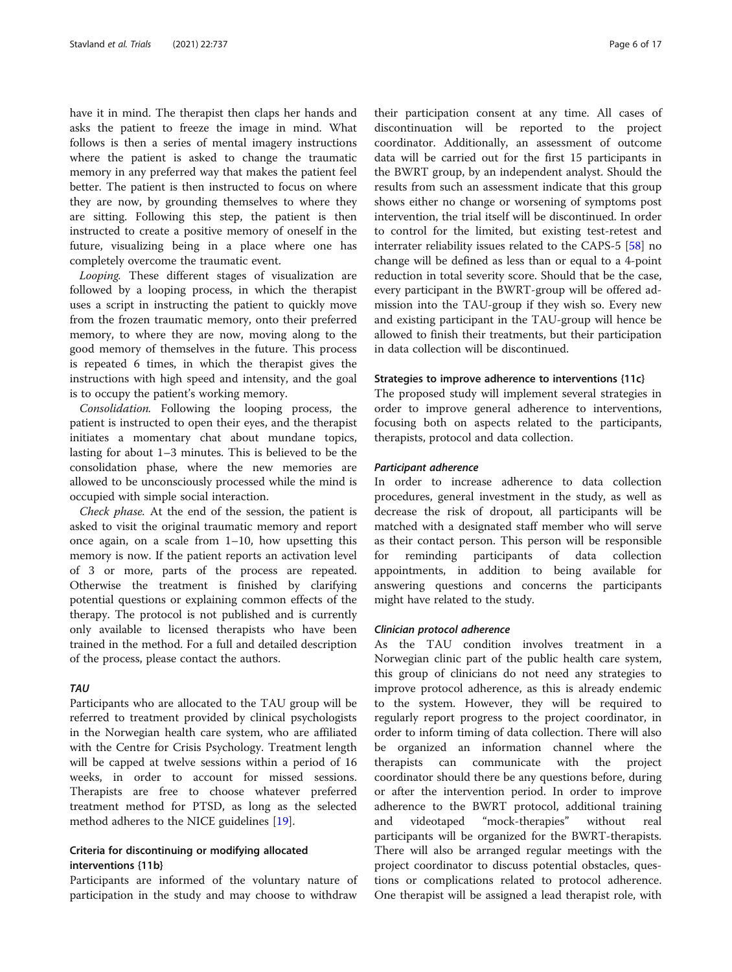have it in mind. The therapist then claps her hands and asks the patient to freeze the image in mind. What follows is then a series of mental imagery instructions where the patient is asked to change the traumatic memory in any preferred way that makes the patient feel better. The patient is then instructed to focus on where they are now, by grounding themselves to where they are sitting. Following this step, the patient is then instructed to create a positive memory of oneself in the future, visualizing being in a place where one has completely overcome the traumatic event.

Looping. These different stages of visualization are followed by a looping process, in which the therapist uses a script in instructing the patient to quickly move from the frozen traumatic memory, onto their preferred memory, to where they are now, moving along to the good memory of themselves in the future. This process is repeated 6 times, in which the therapist gives the instructions with high speed and intensity, and the goal is to occupy the patient's working memory.

Consolidation. Following the looping process, the patient is instructed to open their eyes, and the therapist initiates a momentary chat about mundane topics, lasting for about 1–3 minutes. This is believed to be the consolidation phase, where the new memories are allowed to be unconsciously processed while the mind is occupied with simple social interaction.

Check phase. At the end of the session, the patient is asked to visit the original traumatic memory and report once again, on a scale from 1–10, how upsetting this memory is now. If the patient reports an activation level of 3 or more, parts of the process are repeated. Otherwise the treatment is finished by clarifying potential questions or explaining common effects of the therapy. The protocol is not published and is currently only available to licensed therapists who have been trained in the method. For a full and detailed description of the process, please contact the authors.

## TAU

Participants who are allocated to the TAU group will be referred to treatment provided by clinical psychologists in the Norwegian health care system, who are affiliated with the Centre for Crisis Psychology. Treatment length will be capped at twelve sessions within a period of 16 weeks, in order to account for missed sessions. Therapists are free to choose whatever preferred treatment method for PTSD, as long as the selected method adheres to the NICE guidelines [\[19\]](#page-15-0).

## Criteria for discontinuing or modifying allocated interventions {11b}

Participants are informed of the voluntary nature of participation in the study and may choose to withdraw

their participation consent at any time. All cases of discontinuation will be reported to the project coordinator. Additionally, an assessment of outcome data will be carried out for the first 15 participants in the BWRT group, by an independent analyst. Should the results from such an assessment indicate that this group shows either no change or worsening of symptoms post intervention, the trial itself will be discontinued. In order to control for the limited, but existing test-retest and interrater reliability issues related to the CAPS-5 [[58\]](#page-16-0) no change will be defined as less than or equal to a 4-point reduction in total severity score. Should that be the case, every participant in the BWRT-group will be offered admission into the TAU-group if they wish so. Every new and existing participant in the TAU-group will hence be allowed to finish their treatments, but their participation in data collection will be discontinued.

### Strategies to improve adherence to interventions {11c}

The proposed study will implement several strategies in order to improve general adherence to interventions, focusing both on aspects related to the participants, therapists, protocol and data collection.

## Participant adherence

In order to increase adherence to data collection procedures, general investment in the study, as well as decrease the risk of dropout, all participants will be matched with a designated staff member who will serve as their contact person. This person will be responsible for reminding participants of data collection appointments, in addition to being available for answering questions and concerns the participants might have related to the study.

## Clinician protocol adherence

As the TAU condition involves treatment in a Norwegian clinic part of the public health care system, this group of clinicians do not need any strategies to improve protocol adherence, as this is already endemic to the system. However, they will be required to regularly report progress to the project coordinator, in order to inform timing of data collection. There will also be organized an information channel where the therapists can communicate with the project coordinator should there be any questions before, during or after the intervention period. In order to improve adherence to the BWRT protocol, additional training and videotaped "mock-therapies" without real participants will be organized for the BWRT-therapists. There will also be arranged regular meetings with the project coordinator to discuss potential obstacles, questions or complications related to protocol adherence. One therapist will be assigned a lead therapist role, with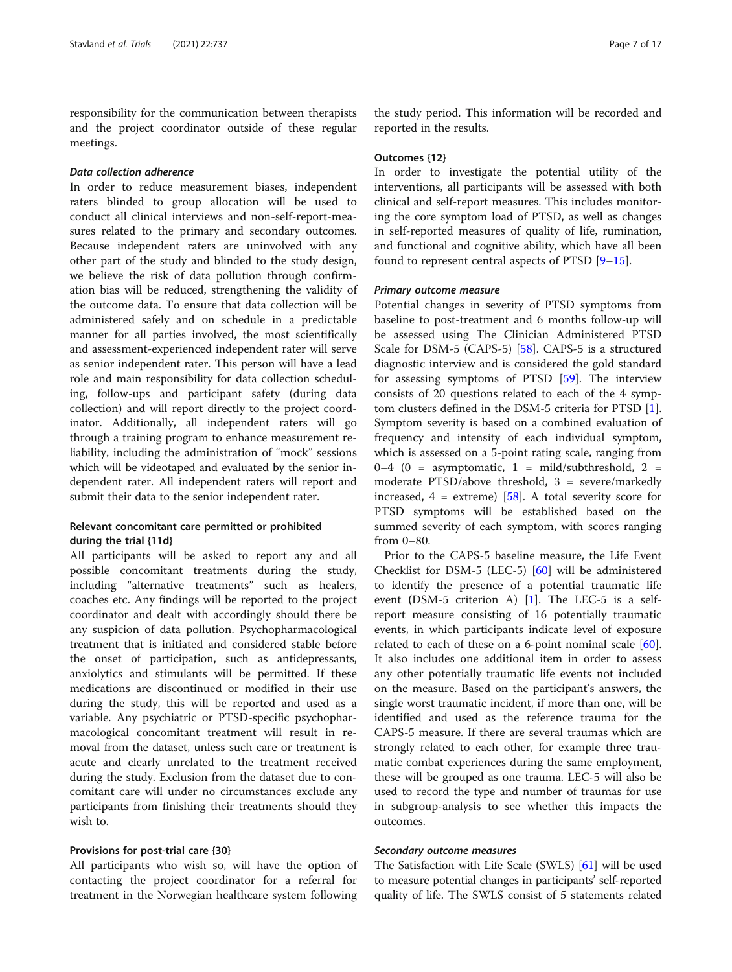responsibility for the communication between therapists and the project coordinator outside of these regular meetings.

## Data collection adherence

In order to reduce measurement biases, independent raters blinded to group allocation will be used to conduct all clinical interviews and non-self-report-measures related to the primary and secondary outcomes. Because independent raters are uninvolved with any other part of the study and blinded to the study design, we believe the risk of data pollution through confirmation bias will be reduced, strengthening the validity of the outcome data. To ensure that data collection will be administered safely and on schedule in a predictable manner for all parties involved, the most scientifically and assessment-experienced independent rater will serve as senior independent rater. This person will have a lead role and main responsibility for data collection scheduling, follow-ups and participant safety (during data collection) and will report directly to the project coordinator. Additionally, all independent raters will go through a training program to enhance measurement reliability, including the administration of "mock" sessions which will be videotaped and evaluated by the senior independent rater. All independent raters will report and submit their data to the senior independent rater.

## Relevant concomitant care permitted or prohibited during the trial {11d}

All participants will be asked to report any and all possible concomitant treatments during the study, including "alternative treatments" such as healers, coaches etc. Any findings will be reported to the project coordinator and dealt with accordingly should there be any suspicion of data pollution. Psychopharmacological treatment that is initiated and considered stable before the onset of participation, such as antidepressants, anxiolytics and stimulants will be permitted. If these medications are discontinued or modified in their use during the study, this will be reported and used as a variable. Any psychiatric or PTSD-specific psychopharmacological concomitant treatment will result in removal from the dataset, unless such care or treatment is acute and clearly unrelated to the treatment received during the study. Exclusion from the dataset due to concomitant care will under no circumstances exclude any participants from finishing their treatments should they wish to.

## Provisions for post-trial care {30}

All participants who wish so, will have the option of contacting the project coordinator for a referral for treatment in the Norwegian healthcare system following

the study period. This information will be recorded and reported in the results.

## Outcomes {12}

In order to investigate the potential utility of the interventions, all participants will be assessed with both clinical and self-report measures. This includes monitoring the core symptom load of PTSD, as well as changes in self-reported measures of quality of life, rumination, and functional and cognitive ability, which have all been found to represent central aspects of PTSD [\[9](#page-14-0)–[15\]](#page-15-0).

#### Primary outcome measure

Potential changes in severity of PTSD symptoms from baseline to post-treatment and 6 months follow-up will be assessed using The Clinician Administered PTSD Scale for DSM-5 (CAPS-5) [\[58](#page-16-0)]. CAPS-5 is a structured diagnostic interview and is considered the gold standard for assessing symptoms of PTSD [\[59](#page-16-0)]. The interview consists of 20 questions related to each of the 4 symptom clusters defined in the DSM-5 criteria for PTSD [\[1](#page-14-0)]. Symptom severity is based on a combined evaluation of frequency and intensity of each individual symptom, which is assessed on a 5-point rating scale, ranging from 0–4 (0 = asymptomatic, 1 = mild/subthreshold, 2 = moderate PTSD/above threshold, 3 = severe/markedly increased,  $4 =$  extreme) [\[58](#page-16-0)]. A total severity score for PTSD symptoms will be established based on the summed severity of each symptom, with scores ranging from 0–80.

Prior to the CAPS-5 baseline measure, the Life Event Checklist for DSM-5 (LEC-5) [\[60\]](#page-16-0) will be administered to identify the presence of a potential traumatic life event (DSM-5 criterion A) [\[1](#page-14-0)]. The LEC-5 is a selfreport measure consisting of 16 potentially traumatic events, in which participants indicate level of exposure related to each of these on a 6-point nominal scale [\[60](#page-16-0)]. It also includes one additional item in order to assess any other potentially traumatic life events not included on the measure. Based on the participant's answers, the single worst traumatic incident, if more than one, will be identified and used as the reference trauma for the CAPS-5 measure. If there are several traumas which are strongly related to each other, for example three traumatic combat experiences during the same employment, these will be grouped as one trauma. LEC-5 will also be used to record the type and number of traumas for use in subgroup-analysis to see whether this impacts the outcomes.

## Secondary outcome measures

The Satisfaction with Life Scale (SWLS) [[61](#page-16-0)] will be used to measure potential changes in participants' self-reported quality of life. The SWLS consist of 5 statements related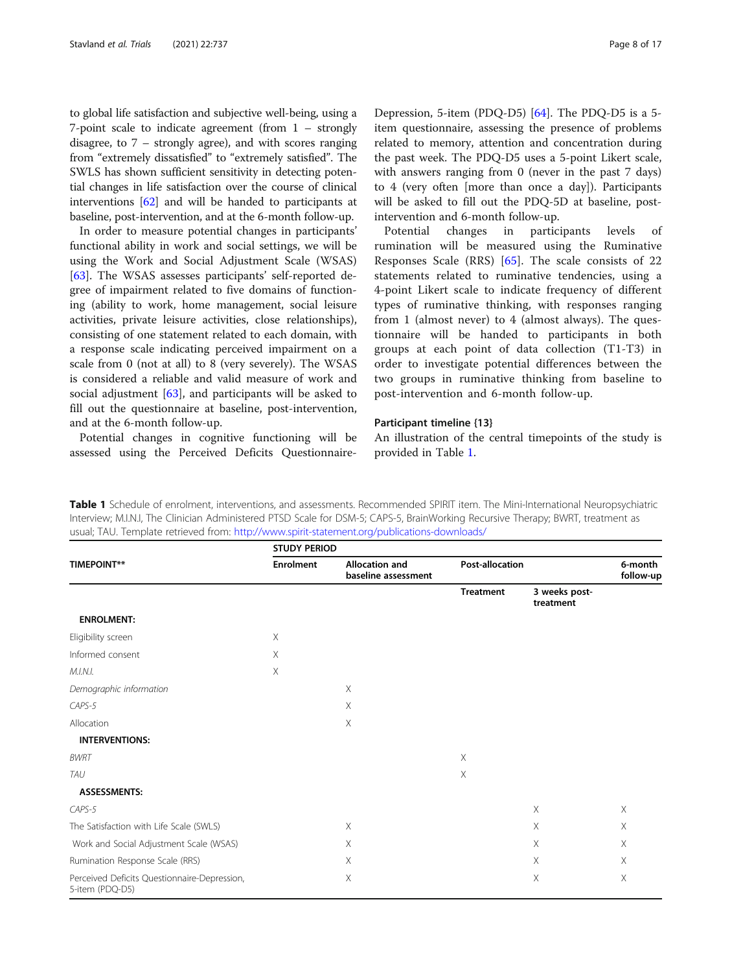to global life satisfaction and subjective well-being, using a 7-point scale to indicate agreement (from 1 – strongly disagree, to 7 – strongly agree), and with scores ranging from "extremely dissatisfied" to "extremely satisfied". The SWLS has shown sufficient sensitivity in detecting potential changes in life satisfaction over the course of clinical interventions [[62](#page-16-0)] and will be handed to participants at baseline, post-intervention, and at the 6-month follow-up.

In order to measure potential changes in participants' functional ability in work and social settings, we will be using the Work and Social Adjustment Scale (WSAS) [[63\]](#page-16-0). The WSAS assesses participants' self-reported degree of impairment related to five domains of functioning (ability to work, home management, social leisure activities, private leisure activities, close relationships), consisting of one statement related to each domain, with a response scale indicating perceived impairment on a scale from 0 (not at all) to 8 (very severely). The WSAS is considered a reliable and valid measure of work and social adjustment [\[63](#page-16-0)], and participants will be asked to fill out the questionnaire at baseline, post-intervention, and at the 6-month follow-up.

Potential changes in cognitive functioning will be assessed using the Perceived Deficits Questionnaire-

Depression, 5-item (PDQ-D5) [[64\]](#page-16-0). The PDQ-D5 is a 5 item questionnaire, assessing the presence of problems related to memory, attention and concentration during the past week. The PDQ-D5 uses a 5-point Likert scale, with answers ranging from 0 (never in the past 7 days) to 4 (very often [more than once a day]). Participants will be asked to fill out the PDQ-5D at baseline, postintervention and 6-month follow-up.

Potential changes in participants levels of rumination will be measured using the Ruminative Responses Scale (RRS) [[65\]](#page-16-0). The scale consists of 22 statements related to ruminative tendencies, using a 4-point Likert scale to indicate frequency of different types of ruminative thinking, with responses ranging from 1 (almost never) to 4 (almost always). The questionnaire will be handed to participants in both groups at each point of data collection (T1-T3) in order to investigate potential differences between the two groups in ruminative thinking from baseline to post-intervention and 6-month follow-up.

## Participant timeline {13}

An illustration of the central timepoints of the study is provided in Table 1.

Table 1 Schedule of enrolment, interventions, and assessments. Recommended SPIRIT item. The Mini-International Neuropsychiatric Interview; M.I.N.I, The Clinician Administered PTSD Scale for DSM-5; CAPS-5, BrainWorking Recursive Therapy; BWRT, treatment as usual; TAU. Template retrieved from: <http://www.spirit-statement.org/publications-downloads/>

| <b>TIMEPOINT**</b>                                              | <b>STUDY PERIOD</b> |                                              |                        |                            |                      |  |
|-----------------------------------------------------------------|---------------------|----------------------------------------------|------------------------|----------------------------|----------------------|--|
|                                                                 | <b>Enrolment</b>    | <b>Allocation and</b><br>baseline assessment | <b>Post-allocation</b> |                            | 6-month<br>follow-up |  |
|                                                                 |                     |                                              | <b>Treatment</b>       | 3 weeks post-<br>treatment |                      |  |
| <b>ENROLMENT:</b>                                               |                     |                                              |                        |                            |                      |  |
| Eligibility screen                                              | X                   |                                              |                        |                            |                      |  |
| Informed consent                                                | Χ                   |                                              |                        |                            |                      |  |
| M.I.N.I.                                                        | Χ                   |                                              |                        |                            |                      |  |
| Demographic information                                         |                     | X                                            |                        |                            |                      |  |
| CAPS-5                                                          |                     | Χ                                            |                        |                            |                      |  |
| Allocation                                                      |                     | Χ                                            |                        |                            |                      |  |
| <b>INTERVENTIONS:</b>                                           |                     |                                              |                        |                            |                      |  |
| <b>BWRT</b>                                                     |                     |                                              | $\times$               |                            |                      |  |
| <b>TAU</b>                                                      |                     |                                              | X                      |                            |                      |  |
| <b>ASSESSMENTS:</b>                                             |                     |                                              |                        |                            |                      |  |
| CAPS-5                                                          |                     |                                              |                        | X                          | $\times$             |  |
| The Satisfaction with Life Scale (SWLS)                         |                     | $\times$                                     |                        | X                          | $\times$             |  |
| Work and Social Adjustment Scale (WSAS)                         |                     | X                                            |                        | $\times$                   | $\times$             |  |
| Rumination Response Scale (RRS)                                 |                     | X                                            |                        | X                          | $\times$             |  |
| Perceived Deficits Questionnaire-Depression,<br>5-item (PDQ-D5) |                     | X                                            |                        | $\times$                   | $\times$             |  |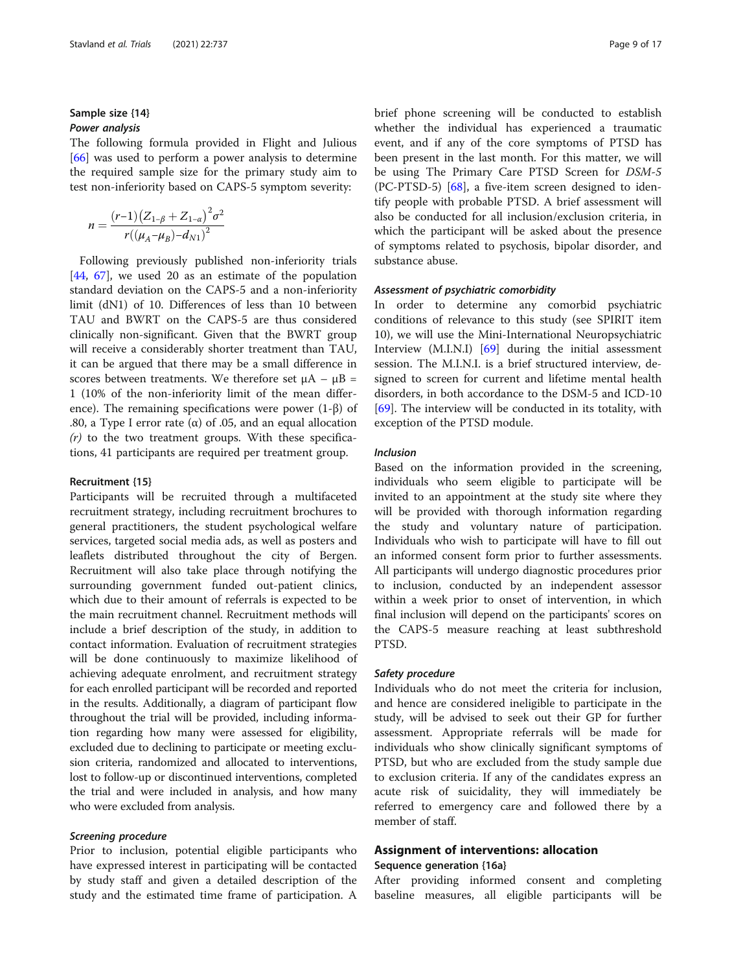## Sample size {14} Power analysis

The following formula provided in Flight and Julious [[66\]](#page-16-0) was used to perform a power analysis to determine the required sample size for the primary study aim to test non-inferiority based on CAPS-5 symptom severity:

$$
n = \frac{(r-1)(Z_{1-\beta} + Z_{1-\alpha})^2 \sigma^2}{r((\mu_A - \mu_B) - d_{N1})^2}
$$

Following previously published non-inferiority trials [[44,](#page-15-0) [67](#page-16-0)], we used 20 as an estimate of the population standard deviation on the CAPS-5 and a non-inferiority limit (dN1) of 10. Differences of less than 10 between TAU and BWRT on the CAPS-5 are thus considered clinically non-significant. Given that the BWRT group will receive a considerably shorter treatment than TAU, it can be argued that there may be a small difference in scores between treatments. We therefore set  $\mu$ A –  $\mu$ B = 1 (10% of the non-inferiority limit of the mean difference). The remaining specifications were power (1-β) of .80, a Type I error rate (α) of .05, and an equal allocation  $(r)$  to the two treatment groups. With these specifications, 41 participants are required per treatment group.

#### Recruitment {15}

Participants will be recruited through a multifaceted recruitment strategy, including recruitment brochures to general practitioners, the student psychological welfare services, targeted social media ads, as well as posters and leaflets distributed throughout the city of Bergen. Recruitment will also take place through notifying the surrounding government funded out-patient clinics, which due to their amount of referrals is expected to be the main recruitment channel. Recruitment methods will include a brief description of the study, in addition to contact information. Evaluation of recruitment strategies will be done continuously to maximize likelihood of achieving adequate enrolment, and recruitment strategy for each enrolled participant will be recorded and reported in the results. Additionally, a diagram of participant flow throughout the trial will be provided, including information regarding how many were assessed for eligibility, excluded due to declining to participate or meeting exclusion criteria, randomized and allocated to interventions, lost to follow-up or discontinued interventions, completed the trial and were included in analysis, and how many who were excluded from analysis.

#### Screening procedure

Prior to inclusion, potential eligible participants who have expressed interest in participating will be contacted by study staff and given a detailed description of the study and the estimated time frame of participation. A brief phone screening will be conducted to establish whether the individual has experienced a traumatic event, and if any of the core symptoms of PTSD has been present in the last month. For this matter, we will be using The Primary Care PTSD Screen for DSM-5 (PC-PTSD-5) [[68\]](#page-16-0), a five-item screen designed to identify people with probable PTSD. A brief assessment will also be conducted for all inclusion/exclusion criteria, in which the participant will be asked about the presence of symptoms related to psychosis, bipolar disorder, and substance abuse.

#### Assessment of psychiatric comorbidity

In order to determine any comorbid psychiatric conditions of relevance to this study (see SPIRIT item 10), we will use the Mini-International Neuropsychiatric Interview (M.I.N.I) [[69\]](#page-16-0) during the initial assessment session. The M.I.N.I. is a brief structured interview, designed to screen for current and lifetime mental health disorders, in both accordance to the DSM-5 and ICD-10 [[69\]](#page-16-0). The interview will be conducted in its totality, with exception of the PTSD module.

## Inclusion

Based on the information provided in the screening, individuals who seem eligible to participate will be invited to an appointment at the study site where they will be provided with thorough information regarding the study and voluntary nature of participation. Individuals who wish to participate will have to fill out an informed consent form prior to further assessments. All participants will undergo diagnostic procedures prior to inclusion, conducted by an independent assessor within a week prior to onset of intervention, in which final inclusion will depend on the participants' scores on the CAPS-5 measure reaching at least subthreshold PTSD.

#### Safety procedure

Individuals who do not meet the criteria for inclusion, and hence are considered ineligible to participate in the study, will be advised to seek out their GP for further assessment. Appropriate referrals will be made for individuals who show clinically significant symptoms of PTSD, but who are excluded from the study sample due to exclusion criteria. If any of the candidates express an acute risk of suicidality, they will immediately be referred to emergency care and followed there by a member of staff.

## Assignment of interventions: allocation

## Sequence generation {16a}

After providing informed consent and completing baseline measures, all eligible participants will be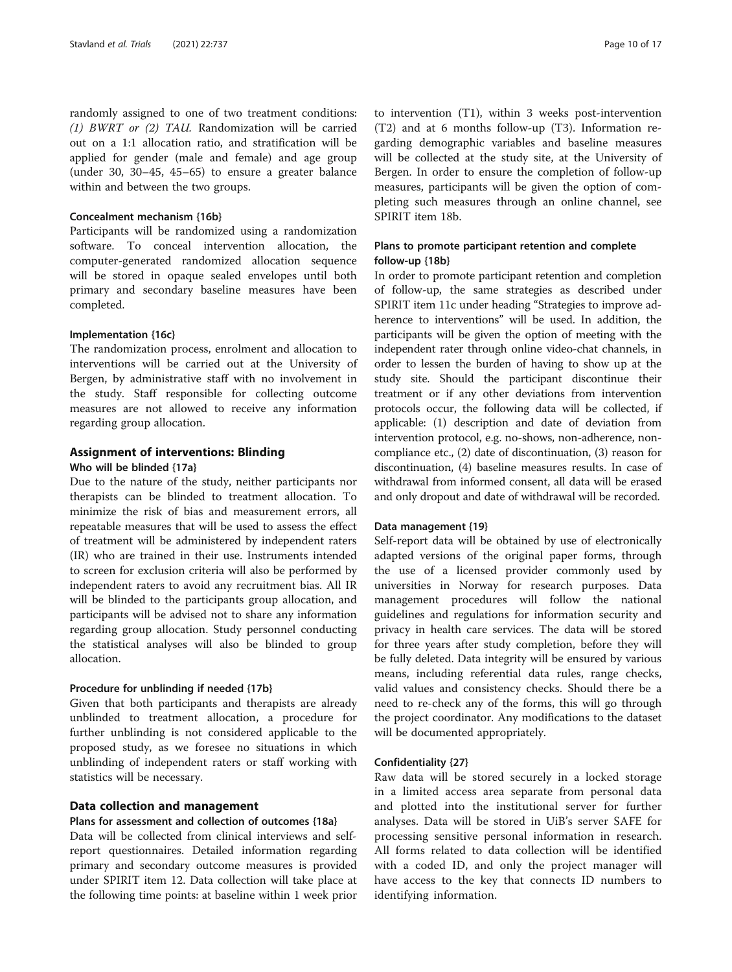randomly assigned to one of two treatment conditions: (1) BWRT or (2) TAU. Randomization will be carried out on a 1:1 allocation ratio, and stratification will be applied for gender (male and female) and age group (under 30, 30–45, 45–65) to ensure a greater balance within and between the two groups.

## Concealment mechanism {16b}

Participants will be randomized using a randomization software. To conceal intervention allocation, the computer-generated randomized allocation sequence will be stored in opaque sealed envelopes until both primary and secondary baseline measures have been completed.

## Implementation {16c}

The randomization process, enrolment and allocation to interventions will be carried out at the University of Bergen, by administrative staff with no involvement in the study. Staff responsible for collecting outcome measures are not allowed to receive any information regarding group allocation.

## Assignment of interventions: Blinding

#### Who will be blinded {17a}

Due to the nature of the study, neither participants nor therapists can be blinded to treatment allocation. To minimize the risk of bias and measurement errors, all repeatable measures that will be used to assess the effect of treatment will be administered by independent raters (IR) who are trained in their use. Instruments intended to screen for exclusion criteria will also be performed by independent raters to avoid any recruitment bias. All IR will be blinded to the participants group allocation, and participants will be advised not to share any information regarding group allocation. Study personnel conducting the statistical analyses will also be blinded to group allocation.

## Procedure for unblinding if needed {17b}

Given that both participants and therapists are already unblinded to treatment allocation, a procedure for further unblinding is not considered applicable to the proposed study, as we foresee no situations in which unblinding of independent raters or staff working with statistics will be necessary.

## Data collection and management

## Plans for assessment and collection of outcomes {18a}

Data will be collected from clinical interviews and selfreport questionnaires. Detailed information regarding primary and secondary outcome measures is provided under SPIRIT item 12. Data collection will take place at the following time points: at baseline within 1 week prior

to intervention (T1), within 3 weeks post-intervention (T2) and at 6 months follow-up (T3). Information regarding demographic variables and baseline measures will be collected at the study site, at the University of Bergen. In order to ensure the completion of follow-up measures, participants will be given the option of completing such measures through an online channel, see SPIRIT item 18b.

## Plans to promote participant retention and complete follow-up {18b}

In order to promote participant retention and completion of follow-up, the same strategies as described under SPIRIT item 11c under heading "Strategies to improve adherence to interventions" will be used. In addition, the participants will be given the option of meeting with the independent rater through online video-chat channels, in order to lessen the burden of having to show up at the study site. Should the participant discontinue their treatment or if any other deviations from intervention protocols occur, the following data will be collected, if applicable: (1) description and date of deviation from intervention protocol, e.g. no-shows, non-adherence, noncompliance etc., (2) date of discontinuation, (3) reason for discontinuation, (4) baseline measures results. In case of withdrawal from informed consent, all data will be erased and only dropout and date of withdrawal will be recorded.

#### Data management {19}

Self-report data will be obtained by use of electronically adapted versions of the original paper forms, through the use of a licensed provider commonly used by universities in Norway for research purposes. Data management procedures will follow the national guidelines and regulations for information security and privacy in health care services. The data will be stored for three years after study completion, before they will be fully deleted. Data integrity will be ensured by various means, including referential data rules, range checks, valid values and consistency checks. Should there be a need to re-check any of the forms, this will go through the project coordinator. Any modifications to the dataset will be documented appropriately.

#### Confidentiality {27}

Raw data will be stored securely in a locked storage in a limited access area separate from personal data and plotted into the institutional server for further analyses. Data will be stored in UiB's server SAFE for processing sensitive personal information in research. All forms related to data collection will be identified with a coded ID, and only the project manager will have access to the key that connects ID numbers to identifying information.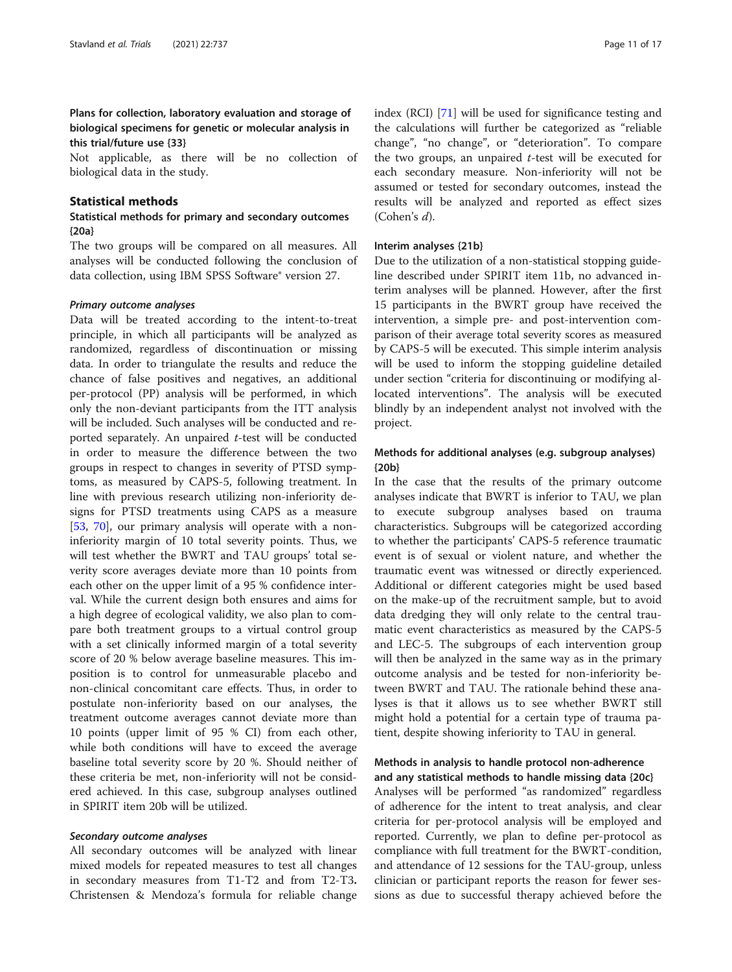## Plans for collection, laboratory evaluation and storage of biological specimens for genetic or molecular analysis in this trial/future use {33}

Not applicable, as there will be no collection of biological data in the study.

## Statistical methods

## Statistical methods for primary and secondary outcomes {20a}

The two groups will be compared on all measures. All analyses will be conducted following the conclusion of data collection, using IBM SPSS Software® version 27.

#### Primary outcome analyses

Data will be treated according to the intent-to-treat principle, in which all participants will be analyzed as randomized, regardless of discontinuation or missing data. In order to triangulate the results and reduce the chance of false positives and negatives, an additional per-protocol (PP) analysis will be performed, in which only the non-deviant participants from the ITT analysis will be included. Such analyses will be conducted and reported separately. An unpaired  $t$ -test will be conducted in order to measure the difference between the two groups in respect to changes in severity of PTSD symptoms, as measured by CAPS-5, following treatment. In line with previous research utilizing non-inferiority designs for PTSD treatments using CAPS as a measure [[53,](#page-16-0) [70](#page-16-0)], our primary analysis will operate with a noninferiority margin of 10 total severity points. Thus, we will test whether the BWRT and TAU groups' total severity score averages deviate more than 10 points from each other on the upper limit of a 95 % confidence interval. While the current design both ensures and aims for a high degree of ecological validity, we also plan to compare both treatment groups to a virtual control group with a set clinically informed margin of a total severity score of 20 % below average baseline measures. This imposition is to control for unmeasurable placebo and non-clinical concomitant care effects. Thus, in order to postulate non-inferiority based on our analyses, the treatment outcome averages cannot deviate more than 10 points (upper limit of 95 % CI) from each other, while both conditions will have to exceed the average baseline total severity score by 20 %. Should neither of these criteria be met, non-inferiority will not be considered achieved. In this case, subgroup analyses outlined in SPIRIT item 20b will be utilized.

#### Secondary outcome analyses

All secondary outcomes will be analyzed with linear mixed models for repeated measures to test all changes in secondary measures from T1-T2 and from T2-T3. Christensen & Mendoza's formula for reliable change index (RCI) [\[71\]](#page-16-0) will be used for significance testing and the calculations will further be categorized as "reliable change", "no change", or "deterioration". To compare the two groups, an unpaired  $t$ -test will be executed for each secondary measure. Non-inferiority will not be assumed or tested for secondary outcomes, instead the results will be analyzed and reported as effect sizes (Cohen's d).

## Interim analyses {21b}

Due to the utilization of a non-statistical stopping guideline described under SPIRIT item 11b, no advanced interim analyses will be planned. However, after the first 15 participants in the BWRT group have received the intervention, a simple pre- and post-intervention comparison of their average total severity scores as measured by CAPS-5 will be executed. This simple interim analysis will be used to inform the stopping guideline detailed under section "criteria for discontinuing or modifying allocated interventions". The analysis will be executed blindly by an independent analyst not involved with the project.

## Methods for additional analyses (e.g. subgroup analyses) {20b}

In the case that the results of the primary outcome analyses indicate that BWRT is inferior to TAU, we plan to execute subgroup analyses based on trauma characteristics. Subgroups will be categorized according to whether the participants' CAPS-5 reference traumatic event is of sexual or violent nature, and whether the traumatic event was witnessed or directly experienced. Additional or different categories might be used based on the make-up of the recruitment sample, but to avoid data dredging they will only relate to the central traumatic event characteristics as measured by the CAPS-5 and LEC-5. The subgroups of each intervention group will then be analyzed in the same way as in the primary outcome analysis and be tested for non-inferiority between BWRT and TAU. The rationale behind these analyses is that it allows us to see whether BWRT still might hold a potential for a certain type of trauma patient, despite showing inferiority to TAU in general.

## Methods in analysis to handle protocol non-adherence and any statistical methods to handle missing data {20c}

Analyses will be performed "as randomized" regardless of adherence for the intent to treat analysis, and clear criteria for per-protocol analysis will be employed and reported. Currently, we plan to define per-protocol as compliance with full treatment for the BWRT-condition, and attendance of 12 sessions for the TAU-group, unless clinician or participant reports the reason for fewer sessions as due to successful therapy achieved before the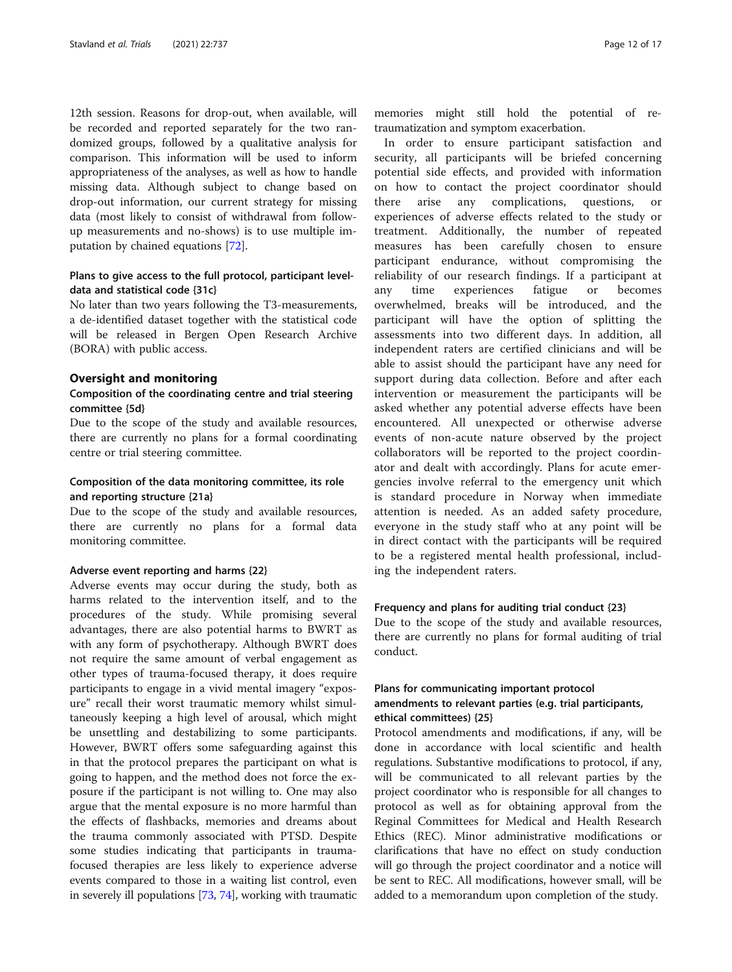12th session. Reasons for drop-out, when available, will be recorded and reported separately for the two randomized groups, followed by a qualitative analysis for comparison. This information will be used to inform appropriateness of the analyses, as well as how to handle missing data. Although subject to change based on drop-out information, our current strategy for missing data (most likely to consist of withdrawal from followup measurements and no-shows) is to use multiple imputation by chained equations [[72](#page-16-0)].

## Plans to give access to the full protocol, participant leveldata and statistical code {31c}

No later than two years following the T3-measurements, a de-identified dataset together with the statistical code will be released in Bergen Open Research Archive (BORA) with public access.

#### Oversight and monitoring

## Composition of the coordinating centre and trial steering committee {5d}

Due to the scope of the study and available resources, there are currently no plans for a formal coordinating centre or trial steering committee.

## Composition of the data monitoring committee, its role and reporting structure {21a}

Due to the scope of the study and available resources, there are currently no plans for a formal data monitoring committee.

#### Adverse event reporting and harms {22}

Adverse events may occur during the study, both as harms related to the intervention itself, and to the procedures of the study. While promising several advantages, there are also potential harms to BWRT as with any form of psychotherapy. Although BWRT does not require the same amount of verbal engagement as other types of trauma-focused therapy, it does require participants to engage in a vivid mental imagery "exposure" recall their worst traumatic memory whilst simultaneously keeping a high level of arousal, which might be unsettling and destabilizing to some participants. However, BWRT offers some safeguarding against this in that the protocol prepares the participant on what is going to happen, and the method does not force the exposure if the participant is not willing to. One may also argue that the mental exposure is no more harmful than the effects of flashbacks, memories and dreams about the trauma commonly associated with PTSD. Despite some studies indicating that participants in traumafocused therapies are less likely to experience adverse events compared to those in a waiting list control, even in severely ill populations [\[73,](#page-16-0) [74](#page-16-0)], working with traumatic

memories might still hold the potential of retraumatization and symptom exacerbation.

In order to ensure participant satisfaction and security, all participants will be briefed concerning potential side effects, and provided with information on how to contact the project coordinator should there arise any complications, questions, or experiences of adverse effects related to the study or treatment. Additionally, the number of repeated measures has been carefully chosen to ensure participant endurance, without compromising the reliability of our research findings. If a participant at any time experiences fatigue or becomes overwhelmed, breaks will be introduced, and the participant will have the option of splitting the assessments into two different days. In addition, all independent raters are certified clinicians and will be able to assist should the participant have any need for support during data collection. Before and after each intervention or measurement the participants will be asked whether any potential adverse effects have been encountered. All unexpected or otherwise adverse events of non-acute nature observed by the project collaborators will be reported to the project coordinator and dealt with accordingly. Plans for acute emergencies involve referral to the emergency unit which is standard procedure in Norway when immediate attention is needed. As an added safety procedure, everyone in the study staff who at any point will be in direct contact with the participants will be required to be a registered mental health professional, including the independent raters.

#### Frequency and plans for auditing trial conduct {23}

Due to the scope of the study and available resources, there are currently no plans for formal auditing of trial conduct.

## Plans for communicating important protocol amendments to relevant parties (e.g. trial participants, ethical committees) {25}

Protocol amendments and modifications, if any, will be done in accordance with local scientific and health regulations. Substantive modifications to protocol, if any, will be communicated to all relevant parties by the project coordinator who is responsible for all changes to protocol as well as for obtaining approval from the Reginal Committees for Medical and Health Research Ethics (REC). Minor administrative modifications or clarifications that have no effect on study conduction will go through the project coordinator and a notice will be sent to REC. All modifications, however small, will be added to a memorandum upon completion of the study.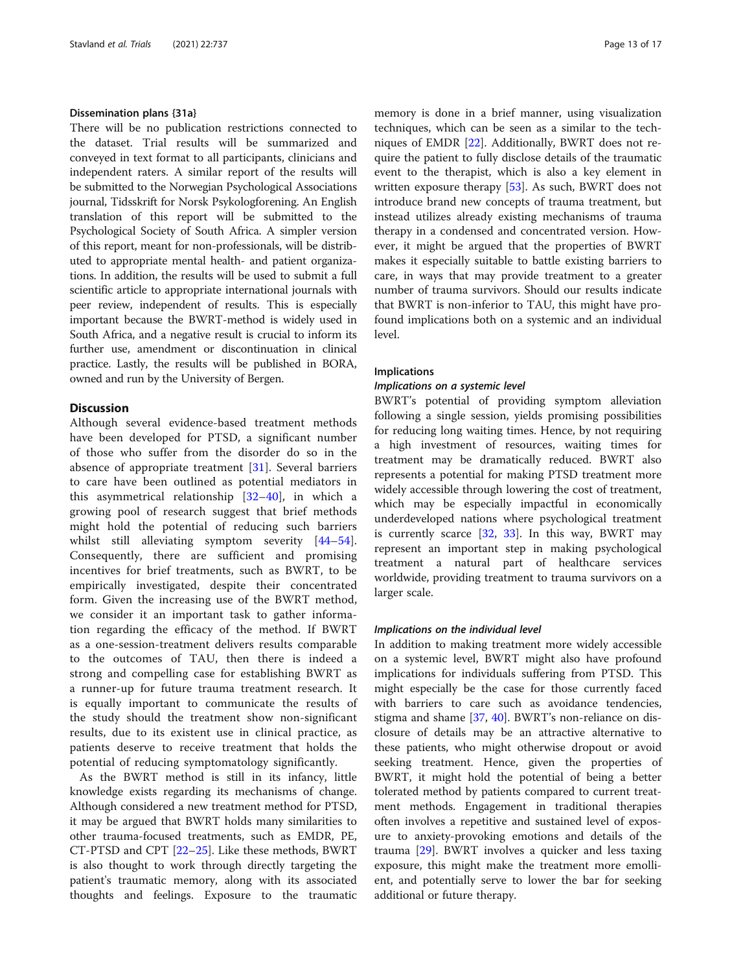## Dissemination plans {31a}

There will be no publication restrictions connected to the dataset. Trial results will be summarized and conveyed in text format to all participants, clinicians and independent raters. A similar report of the results will be submitted to the Norwegian Psychological Associations journal, Tidsskrift for Norsk Psykologforening. An English translation of this report will be submitted to the Psychological Society of South Africa. A simpler version of this report, meant for non-professionals, will be distributed to appropriate mental health- and patient organizations. In addition, the results will be used to submit a full scientific article to appropriate international journals with peer review, independent of results. This is especially important because the BWRT-method is widely used in South Africa, and a negative result is crucial to inform its further use, amendment or discontinuation in clinical practice. Lastly, the results will be published in BORA, owned and run by the University of Bergen.

## **Discussion**

Although several evidence-based treatment methods have been developed for PTSD, a significant number of those who suffer from the disorder do so in the absence of appropriate treatment [[31\]](#page-15-0). Several barriers to care have been outlined as potential mediators in this asymmetrical relationship [[32](#page-15-0)–[40\]](#page-15-0), in which a growing pool of research suggest that brief methods might hold the potential of reducing such barriers whilst still alleviating symptom severity [[44](#page-15-0)–[54](#page-16-0)]. Consequently, there are sufficient and promising incentives for brief treatments, such as BWRT, to be empirically investigated, despite their concentrated form. Given the increasing use of the BWRT method, we consider it an important task to gather information regarding the efficacy of the method. If BWRT as a one-session-treatment delivers results comparable to the outcomes of TAU, then there is indeed a strong and compelling case for establishing BWRT as a runner-up for future trauma treatment research. It is equally important to communicate the results of the study should the treatment show non-significant results, due to its existent use in clinical practice, as patients deserve to receive treatment that holds the potential of reducing symptomatology significantly.

As the BWRT method is still in its infancy, little knowledge exists regarding its mechanisms of change. Although considered a new treatment method for PTSD, it may be argued that BWRT holds many similarities to other trauma-focused treatments, such as EMDR, PE, CT-PTSD and CPT [[22](#page-15-0)–[25](#page-15-0)]. Like these methods, BWRT is also thought to work through directly targeting the patient's traumatic memory, along with its associated thoughts and feelings. Exposure to the traumatic memory is done in a brief manner, using visualization techniques, which can be seen as a similar to the techniques of EMDR [\[22\]](#page-15-0). Additionally, BWRT does not require the patient to fully disclose details of the traumatic event to the therapist, which is also a key element in written exposure therapy [\[53](#page-16-0)]. As such, BWRT does not introduce brand new concepts of trauma treatment, but instead utilizes already existing mechanisms of trauma therapy in a condensed and concentrated version. However, it might be argued that the properties of BWRT makes it especially suitable to battle existing barriers to care, in ways that may provide treatment to a greater number of trauma survivors. Should our results indicate that BWRT is non-inferior to TAU, this might have profound implications both on a systemic and an individual level.

#### Implications

## Implications on a systemic level

BWRT's potential of providing symptom alleviation following a single session, yields promising possibilities for reducing long waiting times. Hence, by not requiring a high investment of resources, waiting times for treatment may be dramatically reduced. BWRT also represents a potential for making PTSD treatment more widely accessible through lowering the cost of treatment, which may be especially impactful in economically underdeveloped nations where psychological treatment is currently scarce [\[32](#page-15-0), [33\]](#page-15-0). In this way, BWRT may represent an important step in making psychological treatment a natural part of healthcare services worldwide, providing treatment to trauma survivors on a larger scale.

## Implications on the individual level

In addition to making treatment more widely accessible on a systemic level, BWRT might also have profound implications for individuals suffering from PTSD. This might especially be the case for those currently faced with barriers to care such as avoidance tendencies, stigma and shame [\[37,](#page-15-0) [40\]](#page-15-0). BWRT's non-reliance on disclosure of details may be an attractive alternative to these patients, who might otherwise dropout or avoid seeking treatment. Hence, given the properties of BWRT, it might hold the potential of being a better tolerated method by patients compared to current treatment methods. Engagement in traditional therapies often involves a repetitive and sustained level of exposure to anxiety-provoking emotions and details of the trauma [[29](#page-15-0)]. BWRT involves a quicker and less taxing exposure, this might make the treatment more emollient, and potentially serve to lower the bar for seeking additional or future therapy.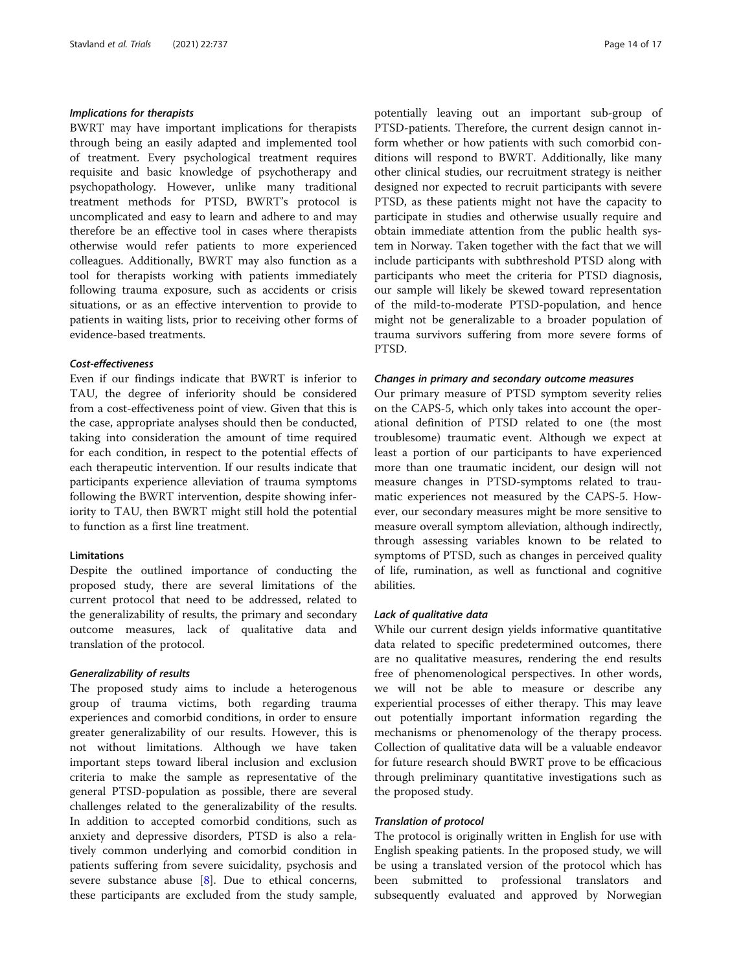## Implications for therapists

BWRT may have important implications for therapists through being an easily adapted and implemented tool of treatment. Every psychological treatment requires requisite and basic knowledge of psychotherapy and psychopathology. However, unlike many traditional treatment methods for PTSD, BWRT's protocol is uncomplicated and easy to learn and adhere to and may therefore be an effective tool in cases where therapists otherwise would refer patients to more experienced colleagues. Additionally, BWRT may also function as a tool for therapists working with patients immediately following trauma exposure, such as accidents or crisis situations, or as an effective intervention to provide to patients in waiting lists, prior to receiving other forms of evidence-based treatments.

## Cost-effectiveness

Even if our findings indicate that BWRT is inferior to TAU, the degree of inferiority should be considered from a cost-effectiveness point of view. Given that this is the case, appropriate analyses should then be conducted, taking into consideration the amount of time required for each condition, in respect to the potential effects of each therapeutic intervention. If our results indicate that participants experience alleviation of trauma symptoms following the BWRT intervention, despite showing inferiority to TAU, then BWRT might still hold the potential to function as a first line treatment.

## Limitations

Despite the outlined importance of conducting the proposed study, there are several limitations of the current protocol that need to be addressed, related to the generalizability of results, the primary and secondary outcome measures, lack of qualitative data and translation of the protocol.

## Generalizability of results

The proposed study aims to include a heterogenous group of trauma victims, both regarding trauma experiences and comorbid conditions, in order to ensure greater generalizability of our results. However, this is not without limitations. Although we have taken important steps toward liberal inclusion and exclusion criteria to make the sample as representative of the general PTSD-population as possible, there are several challenges related to the generalizability of the results. In addition to accepted comorbid conditions, such as anxiety and depressive disorders, PTSD is also a relatively common underlying and comorbid condition in patients suffering from severe suicidality, psychosis and severe substance abuse  $[8]$  $[8]$ . Due to ethical concerns, these participants are excluded from the study sample, potentially leaving out an important sub-group of PTSD-patients. Therefore, the current design cannot inform whether or how patients with such comorbid conditions will respond to BWRT. Additionally, like many other clinical studies, our recruitment strategy is neither designed nor expected to recruit participants with severe PTSD, as these patients might not have the capacity to participate in studies and otherwise usually require and obtain immediate attention from the public health system in Norway. Taken together with the fact that we will include participants with subthreshold PTSD along with participants who meet the criteria for PTSD diagnosis, our sample will likely be skewed toward representation of the mild-to-moderate PTSD-population, and hence might not be generalizable to a broader population of trauma survivors suffering from more severe forms of PTSD.

#### Changes in primary and secondary outcome measures

Our primary measure of PTSD symptom severity relies on the CAPS-5, which only takes into account the operational definition of PTSD related to one (the most troublesome) traumatic event. Although we expect at least a portion of our participants to have experienced more than one traumatic incident, our design will not measure changes in PTSD-symptoms related to traumatic experiences not measured by the CAPS-5. However, our secondary measures might be more sensitive to measure overall symptom alleviation, although indirectly, through assessing variables known to be related to symptoms of PTSD, such as changes in perceived quality of life, rumination, as well as functional and cognitive abilities.

#### Lack of qualitative data

While our current design yields informative quantitative data related to specific predetermined outcomes, there are no qualitative measures, rendering the end results free of phenomenological perspectives. In other words, we will not be able to measure or describe any experiential processes of either therapy. This may leave out potentially important information regarding the mechanisms or phenomenology of the therapy process. Collection of qualitative data will be a valuable endeavor for future research should BWRT prove to be efficacious through preliminary quantitative investigations such as the proposed study.

## Translation of protocol

The protocol is originally written in English for use with English speaking patients. In the proposed study, we will be using a translated version of the protocol which has been submitted to professional translators and subsequently evaluated and approved by Norwegian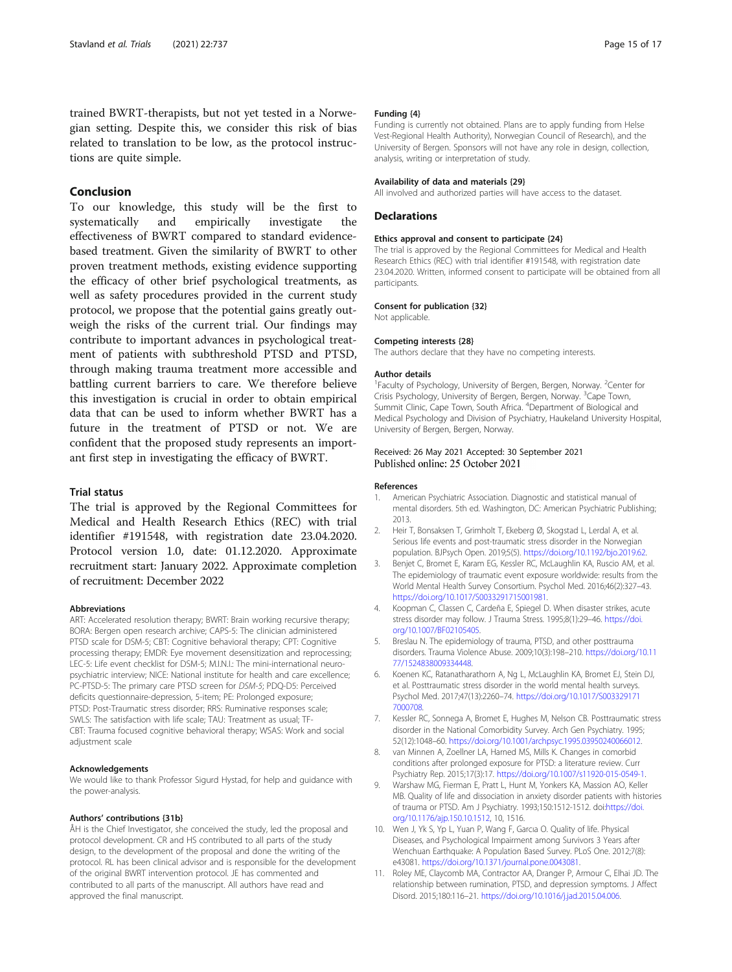<span id="page-14-0"></span>trained BWRT-therapists, but not yet tested in a Norwegian setting. Despite this, we consider this risk of bias related to translation to be low, as the protocol instructions are quite simple.

## Conclusion

To our knowledge, this study will be the first to systematically and empirically investigate the effectiveness of BWRT compared to standard evidencebased treatment. Given the similarity of BWRT to other proven treatment methods, existing evidence supporting the efficacy of other brief psychological treatments, as well as safety procedures provided in the current study protocol, we propose that the potential gains greatly outweigh the risks of the current trial. Our findings may contribute to important advances in psychological treatment of patients with subthreshold PTSD and PTSD, through making trauma treatment more accessible and battling current barriers to care. We therefore believe this investigation is crucial in order to obtain empirical data that can be used to inform whether BWRT has a future in the treatment of PTSD or not. We are confident that the proposed study represents an important first step in investigating the efficacy of BWRT.

## Trial status

The trial is approved by the Regional Committees for Medical and Health Research Ethics (REC) with trial identifier #191548, with registration date 23.04.2020. Protocol version 1.0, date: 01.12.2020. Approximate recruitment start: January 2022. Approximate completion of recruitment: December 2022

## Abbreviations

ART: Accelerated resolution therapy; BWRT: Brain working recursive therapy; BORA: Bergen open research archive; CAPS-5: The clinician administered PTSD scale for DSM-5; CBT: Cognitive behavioral therapy; CPT: Cognitive processing therapy; EMDR: Eye movement desensitization and reprocessing; LEC-5: Life event checklist for DSM-5; M.I.N.I.: The mini-international neuropsychiatric interview; NICE: National institute for health and care excellence; PC-PTSD-5: The primary care PTSD screen for DSM-5; PDQ-D5: Perceived deficits questionnaire-depression, 5-item; PE: Prolonged exposure; PTSD: Post-Traumatic stress disorder; RRS: Ruminative responses scale; SWLS: The satisfaction with life scale; TAU: Treatment as usual; TF-CBT: Trauma focused cognitive behavioral therapy; WSAS: Work and social adjustment scale

#### Acknowledgements

We would like to thank Professor Sigurd Hystad, for help and guidance with the power-analysis.

#### Authors' contributions {31b}

ÅH is the Chief Investigator, she conceived the study, led the proposal and protocol development. CR and HS contributed to all parts of the study design, to the development of the proposal and done the writing of the protocol. RL has been clinical advisor and is responsible for the development of the original BWRT intervention protocol. JE has commented and contributed to all parts of the manuscript. All authors have read and approved the final manuscript.

#### Funding {4}

Funding is currently not obtained. Plans are to apply funding from Helse Vest-Regional Health Authority), Norwegian Council of Research), and the University of Bergen. Sponsors will not have any role in design, collection, analysis, writing or interpretation of study.

#### Availability of data and materials {29}

All involved and authorized parties will have access to the dataset.

#### Declarations

#### Ethics approval and consent to participate {24}

The trial is approved by the Regional Committees for Medical and Health Research Ethics (REC) with trial identifier #191548, with registration date 23.04.2020. Written, informed consent to participate will be obtained from all participants.

#### Consent for publication {32}

Not applicable.

#### Competing interests {28}

The authors declare that they have no competing interests.

#### Author details

<sup>1</sup> Faculty of Psychology, University of Bergen, Bergen, Norway. <sup>2</sup> Center for Crisis Psychology, University of Bergen, Bergen, Norway. <sup>3</sup>Cape Town, Summit Clinic, Cape Town, South Africa. <sup>4</sup>Department of Biological and Medical Psychology and Division of Psychiatry, Haukeland University Hospital, University of Bergen, Bergen, Norway.

#### Received: 26 May 2021 Accepted: 30 September 2021 Published online: 25 October 2021

#### References

- 1. American Psychiatric Association. Diagnostic and statistical manual of mental disorders. 5th ed. Washington, DC: American Psychiatric Publishing; 2013.
- 2. Heir T, Bonsaksen T, Grimholt T, Ekeberg Ø, Skogstad L, Lerdal A, et al. Serious life events and post-traumatic stress disorder in the Norwegian population. BJPsych Open. 2019;5(5). <https://doi.org/10.1192/bjo.2019.62>.
- 3. Benjet C, Bromet E, Karam EG, Kessler RC, McLaughlin KA, Ruscio AM, et al. The epidemiology of traumatic event exposure worldwide: results from the World Mental Health Survey Consortium. Psychol Med. 2016;46(2):327–43. [https://doi.org/10.1017/S0033291715001981.](https://doi.org/10.1017/S0033291715001981)
- 4. Koopman C, Classen C, Cardeña E, Spiegel D. When disaster strikes, acute stress disorder may follow. J Trauma Stress. 1995;8(1):29–46. [https://doi.](https://doi.org/10.1007/BF02105405) [org/10.1007/BF02105405](https://doi.org/10.1007/BF02105405).
- Breslau N. The epidemiology of trauma, PTSD, and other posttrauma disorders. Trauma Violence Abuse. 2009;10(3):198–210. [https://doi.org/10.11](https://doi.org/10.1177/1524838009334448) [77/1524838009334448.](https://doi.org/10.1177/1524838009334448)
- 6. Koenen KC, Ratanatharathorn A, Ng L, McLaughlin KA, Bromet EJ, Stein DJ, et al. Posttraumatic stress disorder in the world mental health surveys. Psychol Med. 2017;47(13):2260–74. [https://doi.org/10.1017/S003329171](https://doi.org/10.1017/S0033291717000708) [7000708.](https://doi.org/10.1017/S0033291717000708)
- 7. Kessler RC, Sonnega A, Bromet E, Hughes M, Nelson CB. Posttraumatic stress disorder in the National Comorbidity Survey. Arch Gen Psychiatry. 1995; 52(12):1048–60. [https://doi.org/10.1001/archpsyc.1995.03950240066012.](https://doi.org/10.1001/archpsyc.1995.03950240066012)
- van Minnen A, Zoellner LA, Harned MS, Mills K. Changes in comorbid conditions after prolonged exposure for PTSD: a literature review. Curr Psychiatry Rep. 2015;17(3):17. [https://doi.org/10.1007/s11920-015-0549-1.](https://doi.org/10.1007/s11920-015-0549-1)
- 9. Warshaw MG, Fierman E, Pratt L, Hunt M, Yonkers KA, Massion AO, Keller MB. Quality of life and dissociation in anxiety disorder patients with histories of trauma or PTSD. Am J Psychiatry. 1993;150:1512-1512. doi[:https://doi.](https://doi.org/10.1176/ajp.150.10.1512) [org/10.1176/ajp.150.10.1512,](https://doi.org/10.1176/ajp.150.10.1512) 10, 1516.
- 10. Wen J, Yk S, Yp L, Yuan P, Wang F, Garcıa O. Quality of life. Physical Diseases, and Psychological Impairment among Survivors 3 Years after Wenchuan Earthquake: A Population Based Survey. PLoS One. 2012;7(8): e43081. <https://doi.org/10.1371/journal.pone.0043081>.
- 11. Roley ME, Claycomb MA, Contractor AA, Dranger P, Armour C, Elhai JD. The relationship between rumination, PTSD, and depression symptoms. J Affect Disord. 2015;180:116–21. <https://doi.org/10.1016/j.jad.2015.04.006>.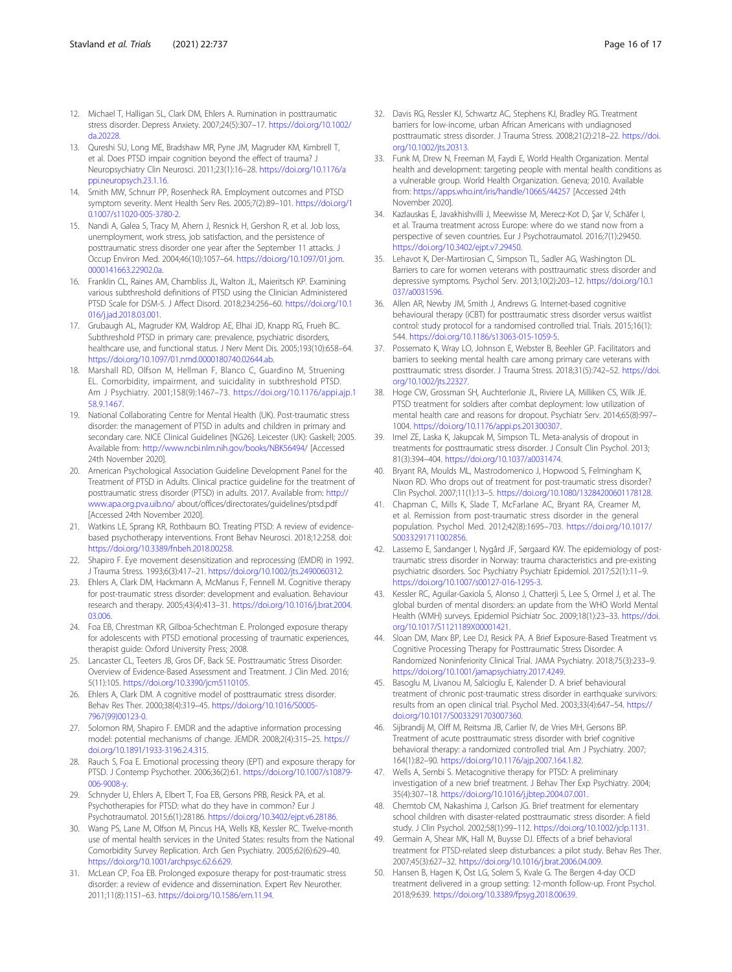- <span id="page-15-0"></span>12. Michael T, Halligan SL, Clark DM, Ehlers A. Rumination in posttraumatic stress disorder. Depress Anxiety. 2007;24(5):307–17. [https://doi.org/10.1002/](https://doi.org/10.1002/da.20228) [da.20228](https://doi.org/10.1002/da.20228).
- 13. Qureshi SU, Long ME, Bradshaw MR, Pyne JM, Magruder KM, Kimbrell T, et al. Does PTSD impair cognition beyond the effect of trauma? J Neuropsychiatry Clin Neurosci. 2011;23(1):16–28. [https://doi.org/10.1176/a](https://doi.org/10.1176/appi.neuropsych.23.1.16) [ppi.neuropsych.23.1.16.](https://doi.org/10.1176/appi.neuropsych.23.1.16)
- 14. Smith MW, Schnurr PP, Rosenheck RA. Employment outcomes and PTSD symptom severity. Ment Health Serv Res. 2005;7(2):89–101. [https://doi.org/1](https://doi.org/10.1007/s11020-005-3780-2) [0.1007/s11020-005-3780-2.](https://doi.org/10.1007/s11020-005-3780-2)
- 15. Nandi A, Galea S, Tracy M, Ahern J, Resnick H, Gershon R, et al. Job loss, unemployment, work stress, job satisfaction, and the persistence of posttraumatic stress disorder one year after the September 11 attacks. J Occup Environ Med. 2004;46(10):1057–64. [https://doi.org/10.1097/01.jom.](https://doi.org/10.1097/01.jom.0000141663.22902.0a) [0000141663.22902.0a.](https://doi.org/10.1097/01.jom.0000141663.22902.0a)
- 16. Franklin CL, Raines AM, Chambliss JL, Walton JL, Maieritsch KP. Examining various subthreshold definitions of PTSD using the Clinician Administered PTSD Scale for DSM-5. J Affect Disord. 2018;234:256–60. [https://doi.org/10.1](https://doi.org/10.1016/j.jad.2018.03.001) [016/j.jad.2018.03.001.](https://doi.org/10.1016/j.jad.2018.03.001)
- 17. Grubaugh AL, Magruder KM, Waldrop AE, Elhai JD, Knapp RG, Frueh BC. Subthreshold PTSD in primary care: prevalence, psychiatric disorders, healthcare use, and functional status. J Nerv Ment Dis. 2005;193(10):658–64. <https://doi.org/10.1097/01.nmd.0000180740.02644.ab>.
- 18. Marshall RD, Olfson M, Hellman F, Blanco C, Guardino M, Struening EL. Comorbidity, impairment, and suicidality in subthreshold PTSD. Am J Psychiatry. 2001;158(9):1467–73. [https://doi.org/10.1176/appi.ajp.1](https://doi.org/10.1176/appi.ajp.158.9.1467) [58.9.1467.](https://doi.org/10.1176/appi.ajp.158.9.1467)
- 19. National Collaborating Centre for Mental Health (UK). Post-traumatic stress disorder: the management of PTSD in adults and children in primary and secondary care. NICE Clinical Guidelines [NG26]. Leicester (UK): Gaskell; 2005. Available from: <http://www.ncbi.nlm.nih.gov/books/NBK56494/> [Accessed 24th November 2020].
- 20. American Psychological Association Guideline Development Panel for the Treatment of PTSD in Adults. Clinical practice guideline for the treatment of posttraumatic stress disorder (PTSD) in adults. 2017. Available from: [http://](http://www.apa.org.pva.uib.no/) [www.apa.org.pva.uib.no/](http://www.apa.org.pva.uib.no/) about/offices/directorates/guidelines/ptsd.pdf [Accessed 24th November 2020].
- 21. Watkins LE, Sprang KR, Rothbaum BO. Treating PTSD: A review of evidencebased psychotherapy interventions. Front Behav Neurosci. 2018;12:258. doi: [https://doi.org/10.3389/fnbeh.2018.00258.](https://doi.org/10.3389/fnbeh.2018.00258)
- 22. Shapiro F. Eye movement desensitization and reprocessing (EMDR) in 1992. J Trauma Stress. 1993;6(3):417–21. <https://doi.org/10.1002/jts.2490060312>.
- 23. Ehlers A, Clark DM, Hackmann A, McManus F, Fennell M. Cognitive therapy for post-traumatic stress disorder: development and evaluation. Behaviour research and therapy. 2005;43(4):413–31. [https://doi.org/10.1016/j.brat.2004.](https://doi.org/10.1016/j.brat.2004.03.006) [03.006.](https://doi.org/10.1016/j.brat.2004.03.006)
- 24. Foa EB, Chrestman KR, Gilboa-Schechtman E. Prolonged exposure therapy for adolescents with PTSD emotional processing of traumatic experiences, therapist guide: Oxford University Press; 2008.
- 25. Lancaster CL, Teeters JB, Gros DF, Back SE. Posttraumatic Stress Disorder: Overview of Evidence-Based Assessment and Treatment. J Clin Med. 2016; 5(11):105. [https://doi.org/10.3390/jcm5110105.](https://doi.org/10.3390/jcm5110105)
- 26. Ehlers A, Clark DM. A cognitive model of posttraumatic stress disorder. Behav Res Ther. 2000;38(4):319–45. [https://doi.org/10.1016/S0005-](https://doi.org/10.1016/S0005-7967(99)00123-0) [7967\(99\)00123-0](https://doi.org/10.1016/S0005-7967(99)00123-0).
- 27. Solomon RM, Shapiro F. EMDR and the adaptive information processing model: potential mechanisms of change. JEMDR. 2008;2(4):315–25. [https://](https://doi.org/10.1891/1933-3196.2.4.315) [doi.org/10.1891/1933-3196.2.4.315](https://doi.org/10.1891/1933-3196.2.4.315).
- 28. Rauch S, Foa E. Emotional processing theory (EPT) and exposure therapy for PTSD. J Contemp Psychother. 2006;36(2):61. [https://doi.org/10.1007/s10879-](https://doi.org/10.1007/s10879-006-9008-y) [006-9008-y.](https://doi.org/10.1007/s10879-006-9008-y)
- 29. Schnyder U, Ehlers A, Elbert T, Foa EB, Gersons PRB, Resick PA, et al. Psychotherapies for PTSD: what do they have in common? Eur J Psychotraumatol. 2015;6(1):28186. [https://doi.org/10.3402/ejpt.v6.28186.](https://doi.org/10.3402/ejpt.v6.28186)
- 30. Wang PS, Lane M, Olfson M, Pincus HA, Wells KB, Kessler RC. Twelve-month use of mental health services in the United States: results from the National Comorbidity Survey Replication. Arch Gen Psychiatry. 2005;62(6):629–40. [https://doi.org/10.1001/archpsyc.62.6.629.](https://doi.org/10.1001/archpsyc.62.6.629)
- 31. McLean CP, Foa EB. Prolonged exposure therapy for post-traumatic stress disorder: a review of evidence and dissemination. Expert Rev Neurother. 2011;11(8):1151–63. [https://doi.org/10.1586/ern.11.94.](https://doi.org/10.1586/ern.11.94)
- 32. Davis RG, Ressler KJ, Schwartz AC, Stephens KJ, Bradley RG. Treatment barriers for low-income, urban African Americans with undiagnosed posttraumatic stress disorder. J Trauma Stress. 2008;21(2):218–22. [https://doi.](https://doi.org/10.1002/jts.20313) [org/10.1002/jts.20313](https://doi.org/10.1002/jts.20313).
- 33. Funk M, Drew N, Freeman M, Faydi E, World Health Organization. Mental health and development: targeting people with mental health conditions as a vulnerable group. World Health Organization. Geneva; 2010. Available from: <https://apps.who.int/iris/handle/10665/44257> [Accessed 24th November 2020].
- 34. Kazlauskas E, Javakhishvilli J, Meewisse M, Merecz-Kot D, Şar V, Schäfer I, et al. Trauma treatment across Europe: where do we stand now from a perspective of seven countries. Eur J Psychotraumatol. 2016;7(1):29450. [https://doi.org/10.3402/ejpt.v7.29450.](https://doi.org/10.3402/ejpt.v7.29450)
- 35. Lehavot K, Der-Martirosian C, Simpson TL, Sadler AG, Washington DL. Barriers to care for women veterans with posttraumatic stress disorder and depressive symptoms. Psychol Serv. 2013;10(2):203–12. [https://doi.org/10.1](https://doi.org/10.1037/a0031596) [037/a0031596](https://doi.org/10.1037/a0031596).
- 36. Allen AR, Newby JM, Smith J, Andrews G. Internet-based cognitive behavioural therapy (iCBT) for posttraumatic stress disorder versus waitlist control: study protocol for a randomised controlled trial. Trials. 2015;16(1): 544. [https://doi.org/10.1186/s13063-015-1059-5.](https://doi.org/10.1186/s13063-015-1059-5)
- 37. Possemato K, Wray LO, Johnson E, Webster B, Beehler GP. Facilitators and barriers to seeking mental health care among primary care veterans with posttraumatic stress disorder. J Trauma Stress. 2018;31(5):742–52. [https://doi.](https://doi.org/10.1002/jts.22327) [org/10.1002/jts.22327](https://doi.org/10.1002/jts.22327).
- 38. Hoge CW, Grossman SH, Auchterlonie JL, Riviere LA, Milliken CS, Wilk JE. PTSD treatment for soldiers after combat deployment: low utilization of mental health care and reasons for dropout. Psychiatr Serv. 2014;65(8):997– 1004. [https://doi.org/10.1176/appi.ps.201300307.](https://doi.org/10.1176/appi.ps.201300307)
- 39. Imel ZE, Laska K, Jakupcak M, Simpson TL. Meta-analysis of dropout in treatments for posttraumatic stress disorder. J Consult Clin Psychol. 2013; 81(3):394–404. <https://doi.org/10.1037/a0031474>.
- 40. Bryant RA, Moulds ML, Mastrodomenico J, Hopwood S, Felmingham K, Nixon RD. Who drops out of treatment for post-traumatic stress disorder? Clin Psychol. 2007;11(1):13–5. [https://doi.org/10.1080/13284200601178128.](https://doi.org/10.1080/13284200601178128)
- 41. Chapman C, Mills K, Slade T, McFarlane AC, Bryant RA, Creamer M, et al. Remission from post-traumatic stress disorder in the general population. Psychol Med. 2012;42(8):1695–703. [https://doi.org/10.1017/](https://doi.org/10.1017/S0033291711002856) [S0033291711002856](https://doi.org/10.1017/S0033291711002856).
- 42. Lassemo E, Sandanger I, Nygård JF, Sørgaard KW. The epidemiology of posttraumatic stress disorder in Norway: trauma characteristics and pre-existing psychiatric disorders. Soc Psychiatry Psychiatr Epidemiol. 2017;52(1):11–9. <https://doi.org/10.1007/s00127-016-1295-3>.
- 43. Kessler RC, Aguilar-Gaxiola S, Alonso J, Chatterji S, Lee S, Ormel J, et al. The global burden of mental disorders: an update from the WHO World Mental Health (WMH) surveys. Epidemiol Psichiatr Soc. 2009;18(1):23–33. [https://doi.](https://doi.org/10.1017/S1121189X00001421) [org/10.1017/S1121189X00001421](https://doi.org/10.1017/S1121189X00001421).
- 44. Sloan DM, Marx BP, Lee DJ, Resick PA. A Brief Exposure-Based Treatment vs Cognitive Processing Therapy for Posttraumatic Stress Disorder: A Randomized Noninferiority Clinical Trial. JAMA Psychiatry. 2018;75(3):233–9. [https://doi.org/10.1001/jamapsychiatry.2017.4249.](https://doi.org/10.1001/jamapsychiatry.2017.4249)
- 45. Basoglu M, Livanou M, Salcioglu E, Kalender D. A brief behavioural treatment of chronic post-traumatic stress disorder in earthquake survivors: results from an open clinical trial. Psychol Med. 2003;33(4):647–54. [https://](https://doi.org/10.1017/S0033291703007360) [doi.org/10.1017/S0033291703007360](https://doi.org/10.1017/S0033291703007360).
- 46. Sijbrandij M, Olff M, Reitsma JB, Carlier IV, de Vries MH, Gersons BP. Treatment of acute posttraumatic stress disorder with brief cognitive behavioral therapy: a randomized controlled trial. Am J Psychiatry. 2007; 164(1):82–90. <https://doi.org/10.1176/ajp.2007.164.1.82>.
- 47. Wells A, Sembi S. Metacognitive therapy for PTSD: A preliminary investigation of a new brief treatment. J Behav Ther Exp Psychiatry. 2004; 35(4):307–18. [https://doi.org/10.1016/j.jbtep.2004.07.001.](https://doi.org/10.1016/j.jbtep.2004.07.001)
- 48. Chemtob CM, Nakashima J, Carlson JG. Brief treatment for elementary school children with disaster-related posttraumatic stress disorder: A field study. J Clin Psychol. 2002;58(1):99–112. [https://doi.org/10.1002/jclp.1131.](https://doi.org/10.1002/jclp.1131)
- 49. Germain A, Shear MK, Hall M, Buysse DJ. Effects of a brief behavioral treatment for PTSD-related sleep disturbances: a pilot study. Behav Res Ther. 2007;45(3):627–32. <https://doi.org/10.1016/j.brat.2006.04.009>.
- 50. Hansen B, Hagen K, Öst LG, Solem S, Kvale G. The Bergen 4-day OCD treatment delivered in a group setting: 12-month follow-up. Front Psychol. 2018;9:639. <https://doi.org/10.3389/fpsyg.2018.00639>.